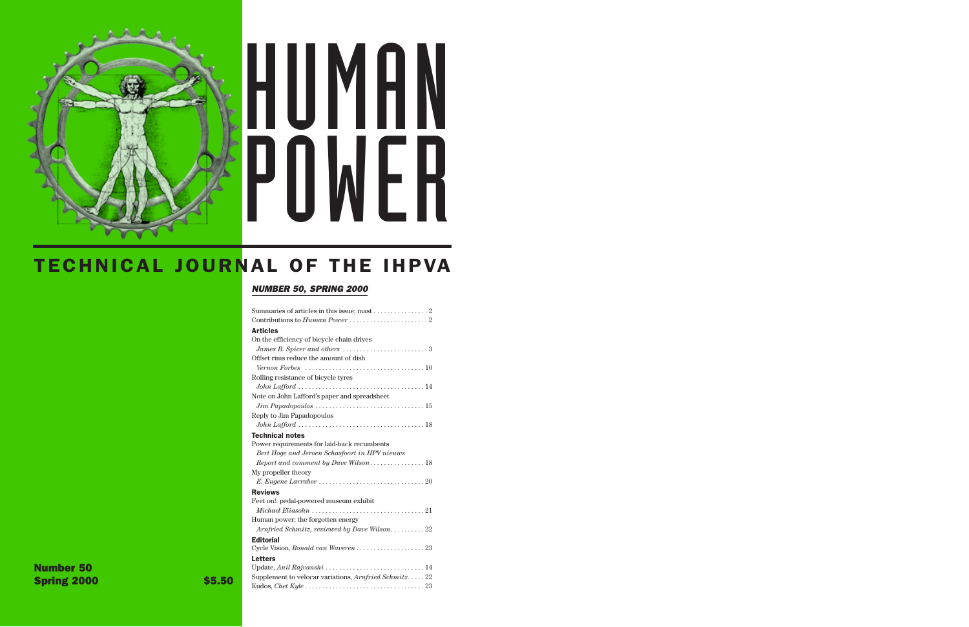# HUMAN POWER

# TECHNICAL JOURNAL OF THE IHPVA

### *NUMBER 50, SPRING 2000*

| Summaries of articles in this issue; mast $\dots \dots \dots \dots 2$                           |
|-------------------------------------------------------------------------------------------------|
|                                                                                                 |
| <b>Articles</b>                                                                                 |
| On the efficiency of bicycle chain drives                                                       |
| James B. Spicer and others $\ldots \ldots \ldots \ldots \ldots \ldots \ldots \ldots$            |
| Offset rims reduce the amount of dish                                                           |
| Vernon Forbes $\ldots \ldots \ldots \ldots \ldots \ldots \ldots \ldots \ldots \ldots \ldots 10$ |
| Rolling resistance of bicycle tyres                                                             |
|                                                                                                 |
| Note on John Lafford's paper and spreadsheet                                                    |
|                                                                                                 |
| Reply to Jim Papadopoulos                                                                       |
|                                                                                                 |
| <b>Technical notes</b>                                                                          |
| Power requirements for laid-back recumbents                                                     |
| Bert Hoge and Jeroen Schasfoort in HPV nieuws                                                   |
| Report and comment by Dave Wilson 18                                                            |
| My propeller theory                                                                             |
|                                                                                                 |
| <b>Reviews</b>                                                                                  |
| Feet on!: pedal-powered museum exhibit                                                          |
|                                                                                                 |
| Human power: the forgotten energy                                                               |
| Arnfried Schmitz, reviewed by Dave Wilson22                                                     |
| <b>Editorial</b>                                                                                |
|                                                                                                 |
| <b>Letters</b>                                                                                  |
|                                                                                                 |
| Supplement to velocar variations, Arnfried Schmitz22                                            |
|                                                                                                 |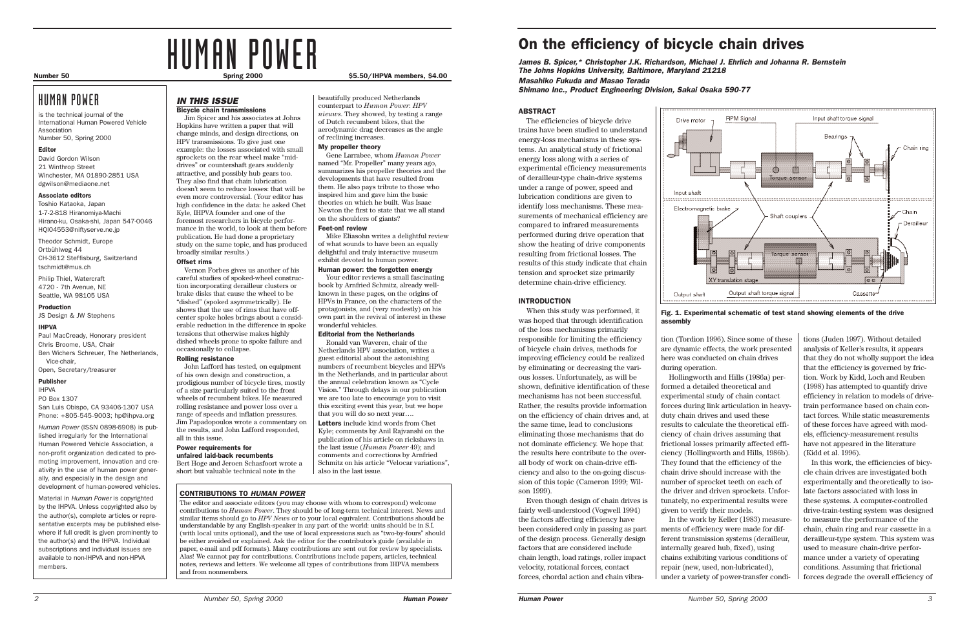tions (Juden 1997). Without detailed analysis of Keller's results, it appears that they do not wholly support the idea that the efficiency is governed by friction. Work by Kidd, Loch and Reuben (1998) has attempted to quantify drive efficiency in relation to models of drivetrain performance based on chain contact forces. While static measurements of these forces have agreed with models, efficiency-measurement results have not appeared in the literature (Kidd et al. 1996).

In this work, the efficiencies of bicycle chain drives are investigated both experimentally and theoretically to isolate factors associated with loss in these systems. A computer-controlled drive-train-testing system was designed to measure the performance of the chain, chain ring and rear cassette in a derailleur-type system. This system was used to measure chain-drive performance under a variety of operating conditions. Assuming that frictional forces degrade the overall efficiency of

### ABSTRACT

The efficiencies of bicycle drive trains have been studied to understand energy-loss mechanisms in these systems. An analytical study of frictional energy loss along with a series of experimental efficiency measurements of derailleur-type chain-drive systems under a range of power, speed and lubrication conditions are given to identify loss mechanisms. These measurements of mechanical efficiency are compared to infrared measurements performed during drive operation that show the heating of drive components resulting from frictional losses. The results of this study indicate that chain tension and sprocket size primarily determine chain-drive efficiency.

### INTRODUCTION

When this study was performed, it was hoped that through identification of the loss mechanisms primarily responsible for limiting the efficiency of bicycle chain drives, methods for improving efficiency could be realized by eliminating or decreasing the various losses. Unfortunately, as will be shown, definitive identification of these mechanisms has not been successful. Rather, the results provide information on the efficiency of chain drives and, at the same time, lead to conclusions eliminating those mechanisms that do not dominate efficiency. We hope that the results here contribute to the overall body of work on chain-drive efficiency and also to the on-going discussion of this topic (Cameron 1999; Wilson 1999).

Even though design of chain drives is fairly well-understood (Vogwell 1994) the factors affecting efficiency have been considered only in passing as part of the design process. Generally design factors that are considered include chain length, load ratings, roller impact velocity, rotational forces, contact forces, chordal action and chain vibra-





tion (Tordion 1996). Since some of these are dynamic effects, the work presented here was conducted on chain drives during operation.

Hollingworth and Hills (1986a) performed a detailed theoretical and experimental study of chain contact forces during link articulation in heavyduty chain drives and used these results to calculate the theoretical efficiency of chain drives assuming that frictional losses primarily affected efficiency (Hollingworth and Hills, 1986b). They found that the efficiency of the chain drive should increase with the number of sprocket teeth on each of the driver and driven sprockets. Unfortunately, no experimental results were given to verify their models.

In the work by Keller (1983) measurements of efficiency were made for different transmission systems (derailleur, internally geared hub, fixed), using chains exhibiting various conditions of repair (new, used, non-lubricated), under a variety of power-transfer condi-

# On the efficiency of bicycle chain drives

*James B. Spicer,\* Christopher J.K. Richardson, Michael J. Ehrlich and Johanna R. Bernstein The Johns Hopkins University, Baltimore, Maryland 21218 Masahiko Fukuda and Masao Terada*

*Shimano Inc., Product Engineering Division, Sakai Osaka 590-77*

Fig. 1. Experimental schematic of test stand showing elements of the drive

# assembly

# HUMAN POWER

# HUMAN POWER

is the technical journal of the International Human Powered Vehicle Association Number 50, Spring 2000

### Editor

David Gordon Wilson 21 Winthrop Street Winchester, MA 01890-2851 USA dgwilson@mediaone.net

### Associate editors

Toshio Kataoka, Japan 1-7-2-818 Hiranomiya-Machi Hirano-ku, Osaka-shi, Japan 547-0046 HQI04553@niftyserve.ne.jp

Theodor Schmidt, Europe Ortbühlweg 44 CH-3612 Steffisburg, Switzerland tschmidt@mus.ch

Philip Thiel, Watercraft 4720 - 7th Avenue, NE Seattle, WA 98105 USA

### Production

JS Design & JW Stephens

### IHPVA

Paul MacCready, Honorary president Chris Broome, USA, Chair Ben Wichers Schreuer, The Netherlands, Vice-chair, Open, Secretary/treasurer

### Publisher

IHPVA PO Box 1307 San Luis Obispo, CA 93406-1307 USA Phone: +805-545-9003; hp@ihpva.org

*Human Power* (ISSN 0898-6908) is published irregularly for the International Human Powered Vehicle Association, a non-profit organization dedicated to promoting improvement, innovation and creativity in the use of human power generally, and especially in the design and development of human-powered vehicles.

Material in *Human Power* is copyrighted by the IHPVA. Unless copyrighted also by the author(s), complete articles or representative excerpts may be published elsewhere if full credit is given prominently to the author(s) and the IHPVA. Individual subscriptions and individual issues are available to non-IHPVA and non-HPVA members.

### *IN THIS ISSUE*

### Bicycle chain transmissions

Jim Spicer and his associates at Johns Hopkins have written a paper that will change minds, and design directions, on HPV transmissions. To give just one example: the losses associated with small sprockets on the rear wheel make "middrives" or countershaft gears suddenly attractive, and possibly hub gears too. They also find that chain lubrication doesn't seem to reduce losses: that will be even more controversial. (Your editor has high confidence in the data: he asked Chet Kyle, IHPVA founder and one of the foremost researchers in bicycle performance in the world, to look at them before publication. He had done a proprietary study on the same topic, and has produced broadly similar results.)

### Offset rims

Vernon Forbes gives us another of his careful studies of spoked-wheel construction incorporating derailleur clusters or brake disks that cause the wheel to be "dished" (spoked asymmetrically). He shows that the use of rims that have offcenter spoke holes brings about a considerable reduction in the difference in spoke tensions that otherwise makes highly dished wheels prone to spoke failure and occasionally to collapse.

### Rolling resistance

John Lafford has tested, on equipment of his own design and construction, a prodigious number of bicycle tires, mostly of a size particularly suited to the front wheels of recumbent bikes. He measured rolling resistance and power loss over a range of speeds and inflation pressures. Jim Papadopoulos wrote a commentary on the results, and John Lafford responded, all in this issue.

### Power requirements for unfaired laid-back recumbents Bert Hoge and Jeroen Schasfoort wrote a

short but valuable technical note in the

beautifully produced Netherlands counterpart to *Human Power*: *HPV nieuws*. They showed, by testing a range of Dutch recumbent bikes, that the aerodynamic drag decreases as the angle of reclining increases.

### My propeller theory

Gene Larrabee, whom *Human Power* named "Mr. Propeller" many years ago, summarizes his propeller theories and the developments that have resulted from them. He also pays tribute to those who inspired him and gave him the basic theories on which he built. Was Isaac Newton the first to state that we all stand on the shoulders of giants?

### Feet-on! review

Mike Eliasohn writes a delightful review of what sounds to have been an equally delightful and truly interactive museum exhibit devoted to human power.

### Human power: the forgotten energy

Your editor reviews a small fascinating book by Arnfried Schmitz, already wellknown in these pages, on the origins of HPVs in France, on the characters of the protagonists, and (very modestly) on his own part in the revival of interest in these wonderful vehicles.

### Editorial from the Netherlands

Ronald van Waveren, chair of the Netherlands HPV association, writes a guest editorial about the astonishing numbers of recumbent bicycles and HPVs in the Netherlands, and in particular about the annual celebration known as "Cycle Vision." Through delays in our publication we are too late to encourage you to visit this exciting event this year, but we hope that you will do so next year….

Letters include kind words from Chet Kyle; comments by Anil Rajvanshi on the publication of his article on rickshaws in the last issue (*Human Power* 49); and comments and corrections by Arnfried Schmitz on his article "Velocar variations", also in the last issue.

### CONTRIBUTIONS TO *HUMAN POWER*

The editor and associate editors (you may choose with whom to correspond) welcome contributions to *Human Power*. They should be of long-term technical interest. News and similar items should go to *HPV News* or to your local equivalent. Contributions should be understandable by any English-speaker in any part of the world: units should be in S.I. (with local units optional), and the use of local expressions such as "two-by-fours" should be either avoided or explained. Ask the editor for the contributor's guide (available in paper, e-mail and pdf formats). Many contributions are sent out for review by specialists. Alas! We cannot pay for contributions. Contributions include papers, articles, technical notes, reviews and letters. We welcome all types of contributions from IHPVA members and from nonmembers.

### Number 50 **Spring 2000** Spring 2000 **\$5.50/IHPVA members, \$4.00** Spring 2000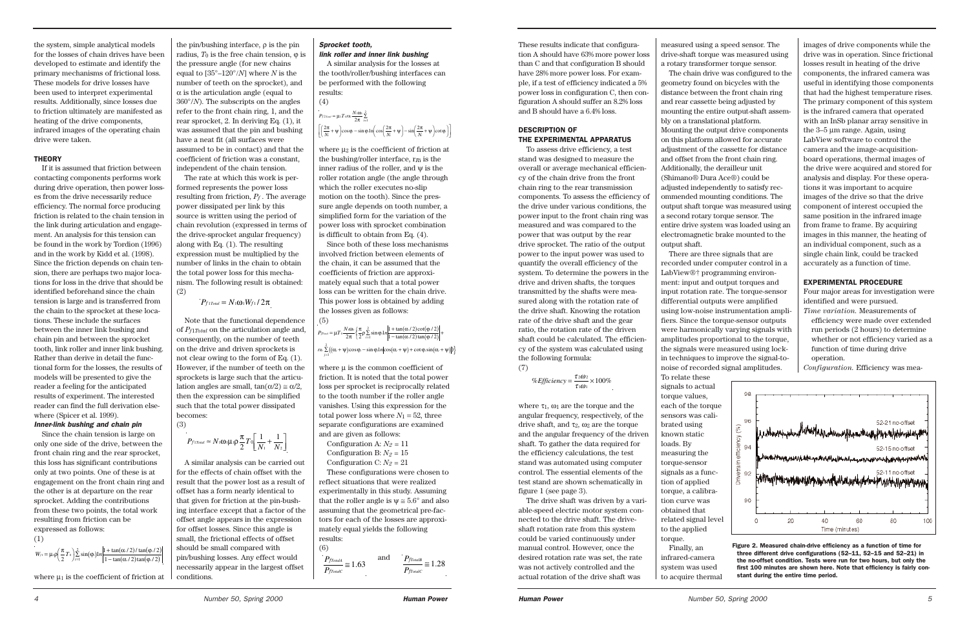These results indicate that configuration A should have 63% more power loss than C and that configuration B should have 28% more power loss. For example, if a test of efficiency indicated a 5% power loss in configuration C, then configuration A should suffer an 8.2% loss and B should have a 6.4% loss.

### DESCRIPTION OF THE EXPERIMENTAL APPARATUS

To assess drive efficiency, a test stand was designed to measure the overall or average mechanical efficiency of the chain drive from the front chain ring to the rear transmission components. To assess the efficiency of the drive under various conditions, the power input to the front chain ring was measured and was compared to the power that was output by the rear drive sprocket. The ratio of the output power to the input power was used to quantify the overall efficiency of the system. To determine the powers in the drive and driven shafts, the torques transmitted by the shafts were measured along with the rotation rate of the drive shaft. Knowing the rotation rate of the drive shaft and the gear ratio, the rotation rate of the driven shaft could be calculated. The efficiency of the system was calculated using the following formula: (7)

% *Efficiency* =  $\frac{\tau_2 \omega_2}{\sqrt{1-\rho^2}} \times 100\%$  $\tau_1\omega$  $2\omega$  $\frac{202}{100} \times 100$ 

where  $\tau_1$ ,  $\omega_1$  are the torque and the angular frequency, respectively, of the drive shaft, and  $\tau_2$ ,  $\omega_2$  are the torque and the angular frequency of the driven shaft. To gather the data required for the efficiency calculations, the test stand was automated using computer control. The essential elements of the test stand are shown schematically in figure 1 (see page 3).

The drive shaft was driven by a variable-speed electric motor system connected to the drive shaft. The driveshaft rotation rate from this system could be varied continuously under manual control. However, once the desired rotation rate was set, the rate was not actively controlled and the actual rotation of the drive shaft was

measured using a speed sensor. The drive-shaft torque was measured using a rotary transformer torque sensor. The chain drive was configured to the geometry found on bicycles with the

distance between the front chain ring and rear cassette being adjusted by mounting the entire output-shaft assembly on a translational platform. Mounting the output drive components on this platform allowed for accurate adjustment of the cassette for distance and offset from the front chain ring. Additionally, the derailleur unit (Shimano® Dura Ace®) could be adjusted independently to satisfy recommended mounting conditions. The output shaft torque was measured using a second rotary torque sensor. The entire drive system was loaded using an electromagnetic brake mounted to the output shaft.

There are three signals that are recorded under computer control in a LabView®† programming environment: input and output torques and input rotation rate. The torque-sensor differential outputs were amplified using low-noise instrumentation amplifiers. Since the torque-sensor outputs were harmonically varying signals with amplitudes proportional to the torque, the signals were measured using lockin techniques to improve the signal-tonoise of recorded signal amplitudes.

To relate these signals to actual torque values, each of the torque sensors was calibrated using known static loads. By measuring the torque-sensor signals as a function of applied torque, a calibration curve was obtained that related signal level to the applied torque. Finally, an

infrared-camera system was used to acquire thermal

images of drive components while the drive was in operation. Since frictional losses result in heating of the drive components, the infrared camera was useful in identifying those components that had the highest temperature rises. The primary component of this system is the infrared camera that operated with an InSb planar array sensitive in the 3–5 µm range. Again, using LabView software to control the camera and the image-acquisitionboard operations, thermal images of the drive were acquired and stored for analysis and display. For these operations it was important to acquire images of the drive so that the drive component of interest occupied the same position in the infrared image from frame to frame. By acquiring images in this manner, the heating of an individual component, such as a single chain link, could be tracked accurately as a function of time.

### EXPERIMENTAL PROCEDURE

Four major areas for investigation were identified and were pursued.

*Time variation.* Measurements of efficiency were made over extended run periods (2 hours) to determine whether or not efficiency varied as a function of time during drive operation.

*Configuration.* Efficiency was mea-



where  $\mu_2$  is the coefficient of friction at the bushing/roller interface, r*R*i is the inner radius of the roller, and  $\psi$  is the roller rotation angle (the angle through which the roller executes no-slip motion on the tooth). Since the pressure angle depends on tooth number, a simplified form for the variation of the power loss with sprocket combination is difficult to obtain from Eq. (4).



where  $\mu$  is the common coefficient of friction. It is noted that the total power loss per sprocket is reciprocally related to the tooth number if the roller angle vanishes. Using this expression for the total power loss where  $N_1 = 52$ , three separate configurations are examined and are given as follows:

Configuration A:  $N_2 = 11$ Configuration B:  $N_2 = 15$ Configuration C:  $N_2 = 21$ 

the system, simple analytical models for the losses of chain drives have been developed to estimate and identify the primary mechanisms of frictional loss. These models for drive losses have been used to interpret experimental results. Additionally, since losses due to friction ultimately are manifested as heating of the drive components, infrared images of the operating chain drive were taken.

### **THEORY**

 $r_R \sum_{i=1}^{2} ((\alpha_i + \psi) \cos \varphi_i - \sin \varphi_i 1 n \cos(\alpha_i + \psi) + \cot \varphi_i \sin(\alpha_i + \psi))$ *j* = 1

If it is assumed that friction between contacting components performs work during drive operation, then power losses from the drive necessarily reduce efficiency. The normal force producing friction is related to the chain tension in the link during articulation and engagement. An analysis for this tension can be found in the work by Tordion (1996) and in the work by Kidd et al. (1998). Since the friction depends on chain tension, there are perhaps two major locations for loss in the drive that should be identified beforehand since the chain tension is large and is transferred from the chain to the sprocket at these locations. These include the surfaces between the inner link bushing and chain pin and between the sprocket tooth, link roller and inner link bushing. Rather than derive in detail the functional form for the losses, the results of models will be presented to give the reader a feeling for the anticipated results of experiment. The interested reader can find the full derivation elsewhere (Spicer et al. 1999).

### *Inner-link bushing and chain pin*

Since the chain tension is large on only one side of the drive, between the front chain ring and the rear sprocket, this loss has significant contributions only at two points. One of these is at engagement on the front chain ring and the other is at departure on the rear sprocket. Adding the contributions from these two points, the total work resulting from friction can be expressed as follows:

(1)

the pin/bushing interface, ρ is the pin radius,  $T_0$  is the free chain tension,  $\varphi$  is the pressure angle (for new chains equal to [35°–120°/*N*] where *N* is the number of teeth on the sprocket), and  $\alpha$  is the articulation angle (equal to 360°/*N*). The subscripts on the angles refer to the front chain ring, 1, and the rear sprocket, 2. In deriving Eq. (1), it was assumed that the pin and bushing have a neat fit (all surfaces were assumed to be in contact) and that the coefficient of friction was a constant, independent of the chain tension.

The rate at which this work is performed represents the power loss resulting from friction, *Pf* . The average power dissipated per link by this source is written using the period of chain revolution (expressed in terms of the drive-sprocket angular frequency) along with Eq. (1). The resulting expression must be multiplied by the number of links in the chain to obtain the total power loss for this mechanism. The following result is obtained: (2)

Note that the functional dependence of *Pf*1*Total* on the articulation angle and, consequently, on the number of teeth on the drive and driven sprockets is not clear owing to the form of Eq. (1). However, if the number of teeth on the sprockets is large such that the articulation angles are small,  $tan(\alpha/2) \approx \alpha/2$ , then the expression can be simplified such that the total power dissipated becomes: (3)

A similar analysis can be carried out for the effects of chain offset with the result that the power lost as a result of offset has a form nearly identical to that given for friction at the pin-bushing interface except that a factor of the offset angle appears in the expression for offset losses. Since this angle is small, the frictional effects of offset should be small compared with  $\frac{1}{\tan(\alpha/2)\tan(\varphi/2)}$  | pin/bushing losses. Any effect would |  $P_{\text{fTotalA}}$  and  $P_{\text{fTotalA}}$ necessarily appear in the largest offset conditions.

### *Sprocket tooth, link roller and inner link bushing*

A similar analysis for the losses at the tooth/roller/bushing interfaces can be performed with the following results:

 $P_{f2\text{Total}} = \mu_2 T_0 r R_i \frac{N_1 \omega_1}{2\pi} \sum_{i=1}^2$  $\left(\frac{2\pi}{N_i} + \psi\right) \cos \varphi_i - \sin \varphi_i \ln \left( \cos \left(\frac{2\pi}{N_i} + \psi\right) - \sin \left(\frac{2\pi}{N_i} + \psi\right) \cot \varphi_i \right)$ =  $\mu_2 T_0 r R_i \frac{N_1 \omega_1}{2\pi} \sum_{i=1}^2$ L  $\left[ \left( \frac{2\pi}{N_i} + \psi \right) \cos \varphi_i - \sin \varphi_i \ln \left( \cos \left( \frac{2\pi}{N_i} + \psi \right) - \sin \left( \frac{2\pi}{N_i} + \psi \right) \cot \varphi_i \right) \right]$ 

(4)

Since both of these loss mechanisms involved friction between elements of the chain, it can be assumed that the coefficients of friction are approximately equal such that a total power loss can be written for the chain drive. This power loss is obtained by adding the losses given as follows: (5)

These configurations were chosen to reflect situations that were realized experimentally in this study. Assuming that the roller angle is  $\psi \approx 5.6^{\circ}$  and also assuming that the geometrical pre-factors for each of the losses are approximately equal yields the following results: (6)

$$
P_{f1Total}=N_1\omega_1W_{f1}/2\pi
$$

$$
P_{f1Total} \approx N_1 \omega_1 \mu_1 \rho \frac{\pi}{2} T_0 \left[ \frac{1}{N_1} + \frac{1}{N_2} \right]
$$

$$
P_{\text{froad}} = \mu T_0 \frac{N_1 \omega_1}{2\pi} \left\{ \frac{\pi}{2} \rho \sum_{i=1}^2 \sin \varphi_i \ln \left| \frac{1 + \tan(\alpha/2) \cot(\varphi_i/2)}{1 - \tan(\alpha/2) \tan(\varphi_i/2)} \right| + \right\}
$$

$$
W_{1} = \mu_1 \rho \left( \frac{\pi}{2} T_0 \right) \sum_{i=1}^{2} \sin(\varphi_i) \ln \left| \frac{1 + \tan(\alpha/2)/\tan(\varphi/2)}{1 - \tan(\alpha/2)\tan(\varphi/2)} \right|
$$

where  $\mu_1$  is the coefficient of friction at

$$
\frac{P_{\text{froual}}}{P_{\text{froual}}}\approx 1.63 \qquad \text{and} \qquad \frac{P_{\text{froual}}}{P_{\text{froual}}}\approx 1.28
$$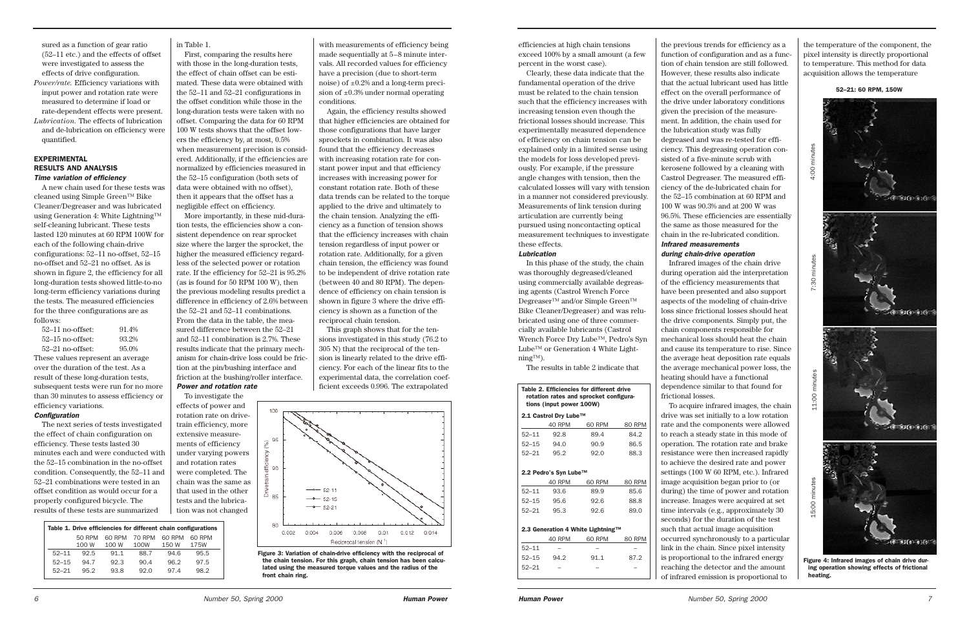efficiencies at high chain tensions exceed 100% by a small amount (a few percent in the worst case).

Clearly, these data indicate that the fundamental operation of the drive must be related to the chain tension such that the efficiency increases with increasing tension even though the frictional losses should increase. This experimentally measured dependence of efficiency on chain tension can be explained only in a limited sense using the models for loss developed previously. For example, if the pressure angle changes with tension, then the calculated losses will vary with tension in a manner not considered previously. Measurements of link tension during articulation are currently being pursued using noncontacting optical measurement techniques to investigate these effects.

### *Lubrication*

In this phase of the study, the chain was thoroughly degreased/cleaned using commercially available degreasing agents (Castrol Wrench Force Degreaser™ and/or Simple Green™ Bike Cleaner/Degreaser) and was relubricated using one of three commercially available lubricants (Castrol Wrench Force Dry Lube™, Pedro's Syn Lube<sup>™</sup> or Generation 4 White Lightning™).

The results in table 2 indicate that

the previous trends for efficiency as a function of configuration and as a function of chain tension are still followed. However, these results also indicate that the actual lubricant used has little effect on the overall performance of the drive under laboratory conditions given the precision of the measurement. In addition, the chain used for the lubrication study was fully degreased and was re-tested for efficiency. This degreasing operation consisted of a five-minute scrub with kerosene followed by a cleaning with Castrol Degreaser. The measured efficiency of the de-lubricated chain for the 52–15 combination at 60 RPM and 100 W was 90.3% and at 200 W was 96.5%. These efficiencies are essentially the same as those measured for the chain in the re-lubricated condition.

*Infrared measurements* 

*during chain-drive operation* Infrared images of the chain drive during operation aid the interpretation of the efficiency measurements that have been presented and also support aspects of the modeling of chain-drive loss since frictional losses should heat the drive components. Simply put, the chain components responsible for mechanical loss should heat the chain and cause its temperature to rise. Since the average heat deposition rate equals the average mechanical power loss, the heating should have a functional dependence similar to that found for frictional losses.

To acquire infrared images, the chain drive was set initially to a low rotation rate and the components were allowed to reach a steady state in this mode of operation. The rotation rate and brake resistance were then increased rapidly to achieve the desired rate and power settings (100 W 60 RPM, etc.). Infrared image acquisition began prior to (or during) the time of power and rotation increase. Images were acquired at set time intervals (e.g., approximately 30 seconds) for the duration of the test such that actual image acquisition occurred synchronously to a particular link in the chain. Since pixel intensity is proportional to the infrared energy reaching the detector and the amount of infrared emission is proportional to

the temperature of the component, the pixel intensity is directly proportional to temperature. This method for data acquisition allows the temperature

### Table 2. Efficiencies for different drive rotation rates and sprocket configurations (input power 100W)

|           | 2.1 Castrol Dry Lube™             |        |        |  |  |  |  |  |  |  |
|-----------|-----------------------------------|--------|--------|--|--|--|--|--|--|--|
|           | 40 RPM                            | 60 RPM | 80 RPM |  |  |  |  |  |  |  |
| $52 - 11$ | 92.8                              | 89.4   | 84.2   |  |  |  |  |  |  |  |
| $52 - 15$ | 94.0                              | 90.9   | 86.5   |  |  |  |  |  |  |  |
| 52-21     | 95.2                              | 92.0   | 88.3   |  |  |  |  |  |  |  |
|           |                                   |        |        |  |  |  |  |  |  |  |
|           | 2.2 Pedro's Syn Lube™             |        |        |  |  |  |  |  |  |  |
|           | 40 RPM                            | 60 RPM | 80 RPM |  |  |  |  |  |  |  |
| $52 - 11$ | 93.6                              | 89.9   | 85.6   |  |  |  |  |  |  |  |
| 52–15     | 95.6                              | 92.6   | 88.8   |  |  |  |  |  |  |  |
| 52-21     | 95.3                              | 92.6   | 89.0   |  |  |  |  |  |  |  |
|           |                                   |        |        |  |  |  |  |  |  |  |
|           | 2.3 Generation 4 White Lightning™ |        |        |  |  |  |  |  |  |  |
|           | 40 RPM                            | 60 RPM | 80 RPM |  |  |  |  |  |  |  |
| $52 - 11$ |                                   |        |        |  |  |  |  |  |  |  |
| $52 - 15$ | 94.2                              | 91.1   | 87.2   |  |  |  |  |  |  |  |

52–21: 60 RPM, 150W



Figure 4: Infrared images of chain drive during operation showing effects of frictional heating.

sured as a function of gear ratio (52–11 etc.) and the effects of offset were investigated to assess the effects of drive configuration. *Power/rate.* Efficiency variations with input power and rotation rate were measured to determine if load or rate-dependent effects were present. *Lubrication.* The effects of lubrication and de-lubrication on efficiency were quantified.

### EXPERIMENTAL RESULTS AND ANALYSIS *Time variation of efficiency*

A new chain used for these tests was cleaned using Simple Green™ Bike Cleaner/Degreaser and was lubricated using Generation 4: White Lightning™ self-cleaning lubricant. These tests lasted 120 minutes at 60 RPM 100W for each of the following chain-drive configurations: 52–11 no-offset, 52–15 no-offset and 52–21 no offset. As is shown in figure 2, the efficiency for all long-duration tests showed little-to-no long-term efficiency variations during the tests. The measured efficiencies for the three configurations are as follows:

| $52-11$ no-offset: | 91.4% |
|--------------------|-------|
| $52-15$ no-offset: | 93.2% |
| $52-21$ no-offset: | 95.0% |

These values represent an average over the duration of the test. As a result of these long-duration tests, subsequent tests were run for no more than 30 minutes to assess efficiency or efficiency variations.

### *Configuration*

The next series of tests investigated the effect of chain configuration on efficiency. These tests lasted 30 minutes each and were conducted with the 52–15 combination in the no-offset condition. Consequently, the 52–11 and 52–21 combinations were tested in an offset condition as would occur for a properly configured bicycle. The results of these tests are summarized

 $52 - 21$ 

in Table 1.

First, comparing the results here with those in the long-duration tests, the effect of chain offset can be estimated. These data were obtained with the 52–11 and 52–21 configurations in the offset condition while those in the long-duration tests were taken with no offset. Comparing the data for 60 RPM 100 W tests shows that the offset lowers the efficiency by, at most, 0.5% when measurement precision is considered. Additionally, if the efficiencies are normalized by efficiencies measured in the 52–15 configuration (both sets of data were obtained with no offset), then it appears that the offset has a negligible effect on efficiency.

More importantly, in these mid-duration tests, the efficiencies show a consistent dependence on rear sprocket size where the larger the sprocket, the higher the measured efficiency regardless of the selected power or rotation rate. If the efficiency for 52–21 is 95.2% (as is found for 50 RPM 100 W), then the previous modeling results predict a difference in efficiency of 2.6% between the 52–21 and 52–11 combinations. From the data in the table, the measured difference between the 52–21 and 52–11 combination is 2.7%. These results indicate that the primary mechanism for chain-drive loss could be friction at the pin/bushing interface and friction at the bushing/roller interface.

*Power and rotation rate* 

To investigate the effects of power and rotation rate on drivetrain efficiency, more extensive measurements of efficiency under varying powers and rotation rates were completed. The chain was the same as that used in the other tests and the lubrication was not changed

with measurements of efficiency being made sequentially at 5–8 minute intervals. All recorded values for efficiency have a precision (due to short-term noise) of ±0.2% and a long-term precision of  $\pm 0.3\%$  under normal operating conditions.

Again, the efficiency results showed that higher efficiencies are obtained for those configurations that have larger sprockets in combination. It was also found that the efficiency decreases with increasing rotation rate for constant power input and that efficiency increases with increasing power for constant rotation rate. Both of these data trends can be related to the torque applied to the drive and ultimately to the chain tension. Analyzing the efficiency as a function of tension shows that the efficiency increases with chain tension regardless of input power or rotation rate. Additionally, for a given chain tension, the efficiency was found to be independent of drive rotation rate (between 40 and 80 RPM). The dependence of efficiency on chain tension is shown in figure 3 where the drive efficiency is shown as a function of the reciprocal chain tension.

This graph shows that for the tensions investigated in this study (76.2 to 305 N) that the reciprocal of the tension is linearly related to the drive efficiency. For each of the linear fits to the experimental data, the correlation coefficient exceeds 0.996. The extrapolated



| Table 1. Drive efficiencies for different chain configurations |        |        |        |        |        |  |  |  |  |  |  |
|----------------------------------------------------------------|--------|--------|--------|--------|--------|--|--|--|--|--|--|
|                                                                | 50 RPM | 60 RPM | 70 RPM | 60 RPM | 60 RPM |  |  |  |  |  |  |
|                                                                | 100 W  | 100 W  | 100W   | 150 W  | 175W   |  |  |  |  |  |  |
| $52 - 11$                                                      | 92.5   | 91.1   | 88.7   | 94.6   | 95.5   |  |  |  |  |  |  |
| $52 - 15$                                                      | 94.7   | 92.3   | 90.4   | 96.2   | 97.5   |  |  |  |  |  |  |
| 52-21                                                          | 95.2   | 93.8   | 92.0   | 974    | 98.2   |  |  |  |  |  |  |

Figure 3: Variation of chain-drive efficiency with the reciprocal of the chain tension. For this graph, chain tension has been calculated using the measured torque values and the radius of the front chain ring.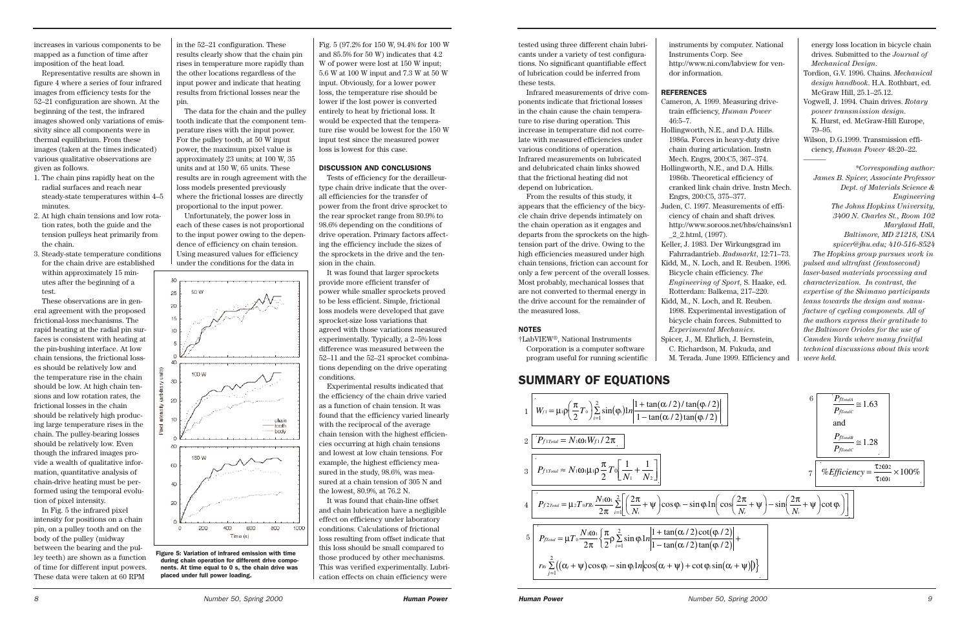tested using three different chain lubricants under a variety of test configurations. No significant quantifiable effect of lubrication could be inferred from these tests.

Infrared measurements of drive components indicate that frictional losses in the chain cause the chain temperature to rise during operation. This increase in temperature did not correlate with measured efficiencies under various conditions of operation. Infrared measurements on lubricated and delubricated chain links showed that the frictional heating did not depend on lubrication.

From the results of this study, it appears that the efficiency of the bicycle chain drive depends intimately on the chain operation as it engages and departs from the sprockets on the hightension part of the drive. Owing to the high efficiencies measured under high chain tensions, friction can account for only a few percent of the overall losses. Most probably, mechanical losses that are not converted to thermal energy in the drive account for the remainder of the measured loss.

### NOTES

†LabVIEW®, National Instruments

Corporation is a computer software program useful for running scientific instruments by computer. National Instruments Corp. See http://www.ni.com/labview for ven-

dor information.

### **REFERENCES**

Cameron, A. 1999. Measuring drivetrain efficiency, *Human Power* 46:5–7.

Hollingworth, N.E., and D.A. Hills. 1986a. Forces in heavy-duty drive chain during articulation. Instn Mech. Engrs, 200:C5, 367–374. Hollingworth, N.E., and D.A. Hills. 1986b. Theoretical efficiency of cranked link chain drive. Instn Mech. Engrs, 200:C5, 375–377. Juden, C. 1997. Measurements of efficiency of chain and shaft drives. http://www.soroos.net/hbs/chains/sn1 \_2\_2.html, (1997). Keller, J. 1983. Der Wirkungsgrad im Fahrradantrieb. *Radmarkt*, 12:71–73. Kidd, M., N. Loch, and R. Reuben. 1996. Bicycle chain efficiency. *The Engineering of Sport*, S. Haake, ed. Rotterdam: Balkema, 217–220. Kidd, M., N. Loch, and R. Reuben. 1998. Experimental investigation of bicycle chain forces. Submitted to *Experimental Mechanics*. Spicer, J., M. Ehrlich, J. Bernstein, C. Richardson, M. Fukuda, and M. Terada. June 1999. Efficiency and

energy loss location in bicycle chain drives. Submitted to the *Journal of Mechanical Design*.

Tordion, G.V. 1996. Chains. *Mechanical design handbook*. H.A. Rothbart, ed. McGraw Hill, 25.1–25.12.

Vogwell, J. 1994. Chain drives. *Rotary power transmission design*. K. Hurst, ed. McGraw-Hill Europe, 79–95.

Wilson, D.G.1999. Transmission efficiency, *Human Power* 48:20–22.

*———*

*\*Corresponding author: James B. Spicer, Associate Professor Dept. of Materials Science & Engineering The Johns Hopkins University, 3400 N. Charles St., Room 102 Maryland Hall, Baltimore, MD 21218, USA spicer@jhu.edu; 410-516-8524 The Hopkins group pursues work in pulsed and ultrafast (femtosecond) laser-based materials processing and characterization. In contrast, the expertise of the Shimano participants leans towards the design and manufacture of cycling components. All of the authors express their gratitude to the Baltimore Orioles for the use of Camden Yards where many fruitful technical discussions about this work were held.* 

## SUMMARY OF EQUATIONS



$$
\begin{array}{c|c}\n\hline\n2 & 0 \\
\hline\n\end{array}\n\left[\n\begin{array}{c}\n\frac{P_{frontA}}{P_{frontC}} \equiv 1.63 \\
\hline\n\end{array}\n\right]
$$
\nand\n
$$
\frac{P_{frontC}}{P_{frontC}} \equiv 1.28
$$
\n
$$
\frac{P_{frontC}}{P_{frontC}} \equiv 1.28
$$
\n
$$
\frac{1}{\sqrt{P_{nonC}}}\left[\cos\left(\frac{2\pi}{N_i} + \psi\right) - \sin\left(\frac{2\pi}{N_i} + \psi\right)\cot\varphi_i\right]\n\end{array}\n\right]
$$
\n
$$
\frac{\varphi_i/2}{\varphi_i/2} + \frac{\varphi_i/2}{\sin(\alpha_i + \psi)|} + \frac{\sin(\alpha_i + \psi)|}{\sin(\alpha_i + \psi)|}.
$$

increases in various components to be mapped as a function of time after imposition of the heat load.

Representative results are shown in figure 4 where a series of four infrared images from efficiency tests for the 52–21 configuration are shown. At the beginning of the test, the infrared images showed only variations of emissivity since all components were in thermal equilibrium. From these images (taken at the times indicated) various qualitative observations are given as follows.

- 1. The chain pins rapidly heat on the radial surfaces and reach near steady-state temperatures within 4–5 minutes.
- 2. At high chain tensions and low rotation rates, both the guide and the tension pulleys heat primarily from the chain.
- 3. Steady-state temperature conditions for the chain drive are established within approximately 15 minutes after the beginning of a test.

These observations are in general agreement with the proposed frictional-loss mechanisms. The rapid heating at the radial pin surfaces is consistent with heating at the pin-bushing interface. At low chain tensions, the frictional losses should be relatively low and the temperature rise in the chain should be low. At high chain tensions and low rotation rates, the frictional losses in the chain should be relatively high producing large temperature rises in the chain. The pulley-bearing losses should be relatively low. Even though the infrared images provide a wealth of qualitative information, quantitative analysis of chain-drive heating must be performed using the temporal evolution of pixel intensity.

In Fig. 5 the infrared pixel intensity for positions on a chain pin, on a pulley tooth and on the body of the pulley (midway between the bearing and the pulley teeth) are shown as a function of time for different input powers. These data were taken at 60 RPM

in the 52–21 configuration. These results clearly show that the chain pin rises in temperature more rapidly than the other locations regardless of the input power and indicate that heating results from frictional losses near the pin.

The data for the chain and the pulley tooth indicate that the component temperature rises with the input power. For the pulley tooth, at 50 W input power, the maximum pixel value is approximately 23 units; at 100 W, 35 units and at 150 W, 65 units. These results are in rough agreement with the loss models presented previously where the frictional losses are directly proportional to the input power.

Unfortunately, the power loss in each of these cases is not proportional to the input power owing to the dependence of efficiency on chain tension. Using measured values for efficiency under the conditions for the data in



Fig. 5 (97.2% for 150 W, 94.4% for 100 W and 85.5% for 50 W) indicates that 4.2 W of power were lost at 150 W input; 5.6 W at 100 W input and 7.3 W at 50 W input. Obviously, for a lower power loss, the temperature rise should be lower if the lost power is converted entirely to heat by frictional loss. It would be expected that the temperature rise would be lowest for the 150 W input test since the measured power loss is lowest for this case.

### DISCUSSION AND CONCLUSIONS

Tests of efficiency for the derailleurtype chain drive indicate that the overall efficiencies for the transfer of power from the front drive sprocket to the rear sprocket range from 80.9% to 98.6% depending on the conditions of drive operation. Primary factors affecting the efficiency include the sizes of the sprockets in the drive and the tension in the chain.

It was found that larger sprockets provide more efficient transfer of power while smaller sprockets proved to be less efficient. Simple, frictional loss models were developed that gave sprocket-size loss variations that agreed with those variations measured experimentally. Typically, a 2–5% loss difference was measured between the 52–11 and the 52–21 sprocket combinations depending on the drive operating conditions.

Experimental results indicated that the efficiency of the chain drive varied as a function of chain tension. It was found that the efficiency varied linearly with the reciprocal of the average chain tension with the highest efficiencies occurring at high chain tensions and lowest at low chain tensions. For example, the highest efficiency measured in the study, 98.6%, was measured at a chain tension of 305 N and the lowest, 80.9%, at 76.2 N.

It was found that chain-line offset and chain lubrication have a negligible effect on efficiency under laboratory conditions. Calculations of frictional loss resulting from offset indicate that this loss should be small compared to those produced by other mechanisms. This was verified experimentally. Lubrication effects on chain efficiency were

Figure 5: Variation of infrared emission with time during chain operation for different drive components. At time equal to 0 s, the chain drive was placed under full power loading.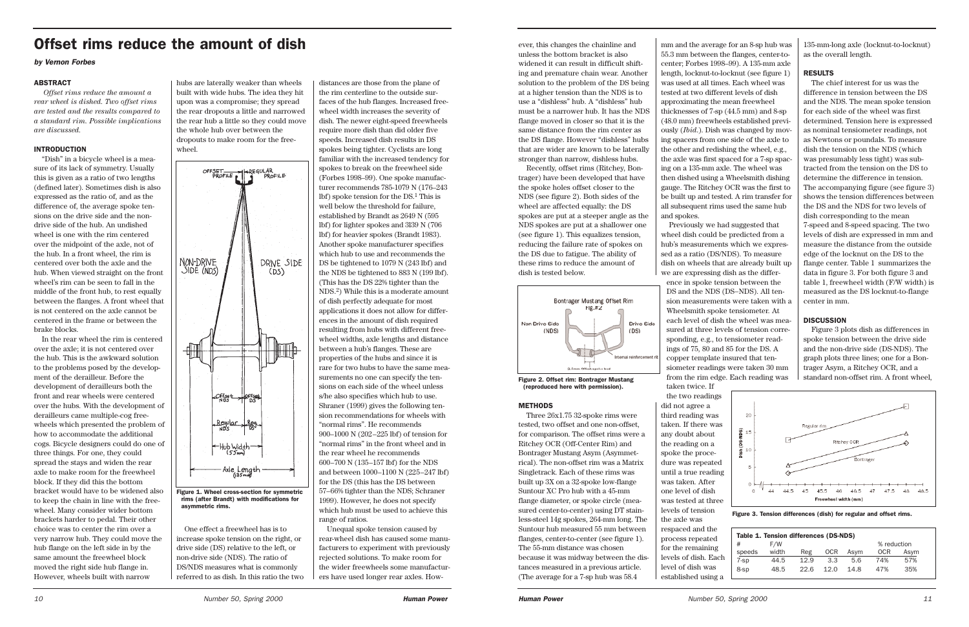ever, this changes the chainline and unless the bottom bracket is also widened it can result in difficult shifting and premature chain wear. Another solution to the problem of the DS being at a higher tension than the NDS is to use a "dishless" hub. A "dishless" hub must be a narrower hub. It has the NDS flange moved in closer so that it is the same distance from the rim center as the DS flange. However "dishless" hubs that are wider are known to be laterally stronger than narrow, dishless hubs.

Recently, offset rims (Ritchey, Bontrager) have been developed that have the spoke holes offset closer to the NDS (see figure 2). Both sides of the wheel are affected equally: the DS spokes are put at a steeper angle as the NDS spokes are put at a shallower one (see figure 1). This equalizes tension, reducing the failure rate of spokes on the DS due to fatigue. The ability of these rims to reduce the amount of dish is tested below.

### METHODS

Three 26x1.75 32-spoke rims were tested, two offset and one non-offset, for comparison. The offset rims were a Ritchey OCR (Off-Center Rim) and Bontrager Mustang Asym (Asymmetrical). The non-offset rim was a Matrix Singletrack. Each of these rims was built up 3X on a 32-spoke low-flange Suntour XC Pro hub with a 45-mm flange diameter, or spoke circle (measured center-to-center) using DT stainless-steel 14g spokes, 264-mm long. The Suntour hub measured 55 mm between flanges, center-to-center (see figure 1). The 55-mm distance was chosen because it was midway between the distances measured in a previous article. (The average for a 7-sp hub was 58.4

mm and the average for an 8-sp hub was 55.3 mm between the flanges, center-tocenter; Forbes 1998–99). A 135-mm axle length, locknut-to-locknut (see figure 1) was used at all times. Each wheel was tested at two different levels of dish approximating the mean freewheel thicknesses of 7-sp (44.5 mm) and 8-sp (48.0 mm) freewheels established previously (*Ibid*.). Dish was changed by moving spacers from one side of the axle to the other and redishing the wheel, e.g., the axle was first spaced for a 7-sp spacing on a 135-mm axle. The wheel was then dished using a Wheelsmith dishing gauge. The Ritchey OCR was the first to be built up and tested. A rim transfer for all subsequent rims used the same hub and spokes.

Previously we had suggested that wheel dish could be predicted from a hub's measurements which we expressed as a ratio (DS/NDS). To measure dish on wheels that are already built up we are expressing dish as the difference in spoke tension between the DS and the NDS (DS−NDS). All tension measurements were taken with a Wheelsmith spoke tensiometer. At each level of dish the wheel was measured at three levels of tension corresponding, e.g., to tensiometer readings of 75, 80 and 85 for the DS. A copper template insured that tensiometer readings were taken 30 mm from the rim edge. Each reading was

taken twice. If the two readings did not agree a third reading was taken. If there was any doubt about the reading on a spoke the procedure was repeated until a true reading was taken. After one level of dish was tested at three levels of tension the axle was respaced and the process repeated for the remaining levels of dish. Ea level of dish was established using a

135-mm-long axle (locknut-to-locknut) as the overall length.

### RESULTS

The chief interest for us was the difference in tension between the DS and the NDS. The mean spoke tension for each side of the wheel was first determined. Tension here is expressed as nominal tensiometer readings, not as Newtons or poundals. To measure dish the tension on the NDS (which was presumably less tight) was subtracted from the tension on the DS to determine the difference in tension. The accompanying figure (see figure 3) shows the tension differences between the DS and the NDS for two levels of dish corresponding to the mean 7-speed and 8-speed spacing. The two levels of dish are expressed in mm and measure the distance from the outside edge of the locknut on the DS to the flange center. Table 1 summarizes the data in figure 3. For both figure 3 and table 1, freewheel width (F/W width) is measured as the DS locknut-to-flange center in mm.

### **DISCUSSION**

Figure 3 plots dish as differences in spoke tension between the drive side and the non-drive side (DS-NDS). The graph plots three lines; one for a Bontrager Asym, a Ritchey OCR, and a standard non-offset rim. A front wheel,

|        | Table 1. Tension differences (DS-NDS) |      |            |      |             |      |
|--------|---------------------------------------|------|------------|------|-------------|------|
| #      | F/W                                   |      |            |      | % reduction |      |
| speeds | width                                 | Reg  | <b>OCR</b> | Asym | <b>OCR</b>  | Asym |
| 7-sp   | 44.5                                  | 12.9 | 3.3        | 5.6  | 74%         | 57%  |
| 8-sp   | 48.5                                  | 22.6 | 12.0       | 14.8 | 47%         | 35%  |
|        |                                       |      |            |      |             |      |



Figure 2. Offset rim: Bontrager Mustang (reproduced here with permission).



Figure 3. Tension differences (dish) for regular and offset rims.

### ABSTRACT

*Offset rims reduce the amount a rear wheel is dished. Two offset rims are tested and the results compared to a standard rim. Possible implications are discussed.* 

### INTRODUCTION

"Dish" in a bicycle wheel is a measure of its lack of symmetry. Usually this is given as a ratio of two lengths (defined later). Sometimes dish is also expressed as the ratio of, and as the difference of, the average spoke tensions on the drive side and the nondrive side of the hub. An undished wheel is one with the rim centered over the midpoint of the axle, not of the hub. In a front wheel, the rim is centered over both the axle and the hub. When viewed straight on the front wheel's rim can be seen to fall in the middle of the front hub, to rest equally between the flanges. A front wheel that is not centered on the axle cannot be centered in the frame or between the brake blocks.

In the rear wheel the rim is centered over the axle; it is not centered over the hub. This is the awkward solution to the problems posed by the development of the derailleur. Before the development of derailleurs both the front and rear wheels were centered over the hubs. With the development of derailleurs came multiple-cog freewheels which presented the problem of how to accommodate the additional cogs. Bicycle designers could do one of three things. For one, they could spread the stays and widen the rear axle to make room for the freewheel block. If they did this the bottom bracket would have to be widened also to keep the chain in line with the freewheel. Many consider wider bottom brackets harder to pedal. Their other choice was to center the rim over a very narrow hub. They could move the hub flange on the left side in by the same amount the freewheel block moved the right side hub flange in. However, wheels built with narrow

hubs are laterally weaker than wheels built with wide hubs. The idea they hit upon was a compromise; they spread the rear dropouts a little and narrowed the rear hub a little so they could move the whole hub over between the dropouts to make room for the freewheel.

One effect a freewheel has is to increase spoke tension on the right, or drive side (DS) relative to the left, or non-drive side (NDS). The ratio of DS/NDS measures what is commonly referred to as dish. In this ratio the two

distances are those from the plane of the rim centerline to the outside surfaces of the hub flanges. Increased freewheel width increases the severity of dish. The newer eight-speed freewheels require more dish than did older five speeds. Increased dish results in DS spokes being tighter. Cyclists are long familiar with the increased tendency for spokes to break on the freewheel side (Forbes 1998–99). One spoke manufacturer recommends 785-1079 N (176–243 lbf) spoke tension for the DS.1 This is well below the threshold for failure, established by Brandt as 2649 N (595 lbf) for lighter spokes and 3l39 N (706 lbf) for heavier spokes (Brandt 1983). Another spoke manufacturer specifies which hub to use and recommends the DS be tightened to 1079 N (243 lbf) and the NDS be tightened to 883 N (199 lbf). (This has the DS 22% tighter than the NDS.2) While this is a moderate amount of dish perfectly adequate for most applications it does not allow for differences in the amount of dish required resulting from hubs with different freewheel widths, axle lengths and distance between a hub's flanges. These are properties of the hubs and since it is rare for two hubs to have the same measurements no one can specify the tensions on each side of the wheel unless s/he also specifies which hub to use. Shraner (1999) gives the following tension recommendations for wheels with "normal rims". He recommends 900–1000 N (202–225 lbf) of tension for "normal rims" in the front wheel and in the rear wheel he recommends 600–700 N (135–157 lbf) for the NDS and between 1000–1100 N (225–247 lbf) for the DS (this has the DS between 57–66% tighter than the NDS; Schraner 1999). However, he does not specify which hub must be used to achieve this range of ratios.

Unequal spoke tension caused by rear-wheel dish has caused some manufacturers to experiment with previously rejected solutions. To make room for the wider freewheels some manufacturers have used longer rear axles. How-



# Offset rims reduce the amount of dish

### *by Vernon Forbes*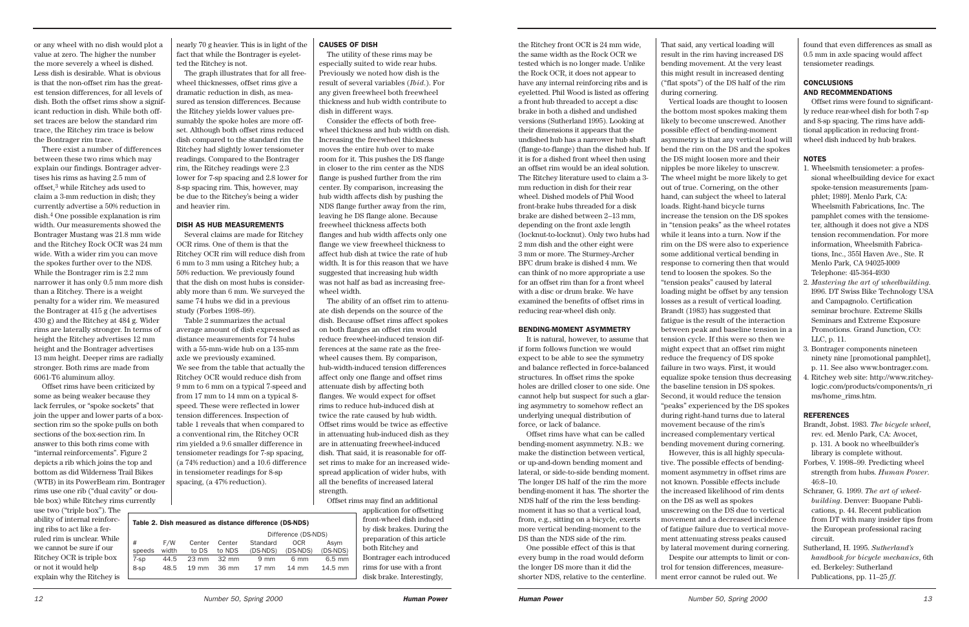the Ritchey front OCR is 24 mm wide, the same width as the Rock OCR we tested which is no longer made. Unlike the Rock OCR, it does not appear to have any internal reinforcing ribs and is eyeletted. Phil Wood is listed as offering a front hub threaded to accept a disc brake in both a dished and undished versions (Sutherland 1995). Looking at their dimensions it appears that the undished hub has a narrower hub shaft (flange-to-flange) than the dished hub. If it is for a dished front wheel then using an offset rim would be an ideal solution. The Ritchey literature used to claim a 3 mm reduction in dish for their rear wheel. Dished models of Phil Wood front-brake hubs threaded for a disk brake are dished between 2–13 mm, depending on the front axle length (locknut-to-locknut). Only two hubs had 2 mm dish and the other eight were 3 mm or more. The Sturmey-Archer BFC drum brake is dished 4 mm. We can think of no more appropriate a use for an offset rim than for a front wheel with a disc or drum brake. We have examined the benefits of offset rims in reducing rear-wheel dish only.

### BENDING-MOMENT ASYMMETRY

It is natural, however, to assume that if form follows function we would expect to be able to see the symmetry and balance reflected in force-balanced structures. In offset rims the spoke holes are drilled closer to one side. One cannot help but suspect for such a glaring asymmetry to somehow reflect an underlying unequal distribution of force, or lack of balance.

Offset rims have what can be called bending-moment asymmetry. N.B.: we make the distinction between vertical, or up-and-down bending moment and lateral, or side-to-side bending moment. The longer DS half of the rim the more bending-moment it has. The shorter the NDS half of the rim the less bendingmoment it has so that a vertical load, from, e.g., sitting on a bicycle, exerts more vertical bending-moment to the DS than the NDS side of the rim.

One possible effect of this is that every bump in the road would deform the longer DS more than it did the shorter NDS, relative to the centerline.

### **CONCLUSIONS** AND RECOMMENDATIONS

That said, any vertical loading will result in the rim having increased DS bending movement. At the very least this might result in increased denting ("flat spots") of the DS half of the rim

during cornering.

Vertical loads are thought to loosen the bottom most spokes making them likely to become unscrewed. Another possible effect of bending-moment asymmetry is that any vertical load will bend the rim on the DS and the spokes the DS might loosen more and their nipples be more likeley to unscrew. The wheel might be more likely to get out of true. Cornering, on the other hand, can subject the wheel to lateral loads. Right-hand bicycle turns increase the tension on the DS spokes in "tension peaks" as the wheel rotates while it leans into a turn. Now if the rim on the DS were also to experience some additional vertical bending in response to cornering then that would tend to loosen the spokes. So the "tension peaks" caused by lateral loading might be offset by any tension losses as a result of vertical loading. Brandt (1983) has suggested that fatigue is the result of the interaction between peak and baseline tension in a tension cycle. If this were so then we might expect that an offset rim might reduce the frequency of DS spoke failure in two ways. First, it would equalize spoke tension thus decreasing the baseline tension in DS spokes. Second, it would reduce the tension "peaks" experienced by the DS spokes during right-hand turns due to lateral movement because of the rim's increased complementary vertical bending movement during cornering. However, this is all highly speculative. The possible effects of bendingmoment asymmetry in offset rims are not known. Possible effects include the increased likelihood of rim dents on the DS as well as spokes

unscrewing on the DS due to vertical movement and a decreased incidence of fatigue failure due to vertical movement attenuating stress peaks caused by lateral movement during cornering. Despite our attempts to limit or control for tension differences, measurement error cannot be ruled out. We

found that even differences as small as 0.5 mm in axle spacing would affect tensiometer readings.

Offset rims were found to significantly reduce rear-wheel dish for both 7-sp and 8-sp spacing. The rims have additional application in reducing frontwheel dish induced by hub brakes.

### **NOTES**

- 1. Wheelsmith tensiometer: a professional wheelbuilding device for exact spoke-tension measurements [pamphlet; 1989]. Menlo Park, CA: Wheelsmith Fabrications, Inc. The pamphlet comes with the tensiometer, although it does not give a NDS tension recommendation. For more information, Wheelsmith Fabrications, Inc., 355l Haven Ave., Ste. R Menlo Park, CA 94025-l009 Telephone: 4l5-364-4930
- 2. *Mastering the art of wheelbuilding*. l996. DT Swiss Bike Technology USA and Campagnolo. Certification seminar brochure. Extreme Skills Seminars and Extreme Exposure Promotions. Grand Junction, CO: LLC, p. 11.
- 3. Bontrager components nineteen ninety nine [promotional pamphlet], p. 11. See also www.bontrager.com.
- 4. Ritchey web site: http://www.ritcheylogic.com/products/components/n\_ri ms/home\_rims.htm.

### REFERENCES

- Brandt, Jobst. 1983. *The bicycle wheel*, rev. ed. Menlo Park, CA: Avocet, p. 131. A book no wheelbuilder's library is complete without.
- Forbes, V. 1998–99. Predicting wheel strength from hubs. *Human Power*. 46:8–10.
- Schraner, G. 1999. *The art of wheelbuilding*. Denver: Buopane Publications, p. 44. Recent publication from DT with many insider tips from the European professional racing circuit.
- Sutherland, H. 1995. *Sutherland's handbook for bicycle mechanics*, 6th ed. Berkeley: Sutherland Publications, pp. 11–25 *ff.*

F/W Center Center Standard OCR Asym speeds width to DS to NDS (DS-NDS) (DS-NDS) (DS-NDS) 7-sp 44.5 23 mm 32 mm 9 mm 6 mm 6.5 mm 8-sp 48.5 19 mm 36 mm 17 mm 14 mm 14.5 mm

or any wheel with no dish would plot a value at zero. The higher the number the more severely a wheel is dished. Less dish is desirable. What is obvious is that the non-offset rim has the greatest tension differences, for all levels of dish. Both the offset rims show a significant reduction in dish. While both offset traces are below the standard rim trace, the Ritchey rim trace is below the Bontrager rim trace.

There exist a number of differences between these two rims which may explain our findings. Bontrager advertises his rims as having 2.5 mm of offset,3 while Ritchey ads used to claim a 3-mm reduction in dish; they currently advertise a 50% reduction in dish.4 One possible explanation is rim width. Our measurements showed the Bontrager Mustang was 21.8 mm wide and the Ritchey Rock OCR was 24 mm wide. With a wider rim you can move the spokes further over to the NDS. While the Bontrager rim is 2.2 mm narrower it has only 0.5 mm more dish than a Ritchey. There is a weight penalty for a wider rim. We measured the Bontrager at 415 g (he advertises 430 g) and the Ritchey at 484 g. Wider rims are laterally stronger. In terms of height the Ritchey advertises 12 mm height and the Bontrager advertises 13 mm height. Deeper rims are radially stronger. Both rims are made from 6061-T6 aluminum alloy.

Offset rims have been criticized by some as being weaker because they lack ferrules, or "spoke sockets" that join the upper and lower parts of a boxsection rim so the spoke pulls on both sections of the box-section rim. In answer to this both rims come with "internal reinforcements". Figure 2 depicts a rib which joins the top and bottom as did Wilderness Trail Bikes (WTB) in its PowerBeam rim. Bontrager rims use one rib ("dual cavity" or double box) while Ritchey rims currently

use two ("triple box"). The ability of internal reinforcing ribs to act like a ferruled rim is unclear. While we cannot be sure if our Ritchey OCR is triple box or not it would help explain why the Ritchey is

nearly 70 g heavier. This is in light of the fact that while the Bontrager is eyeletted the Ritchey is not.

The graph illustrates that for all freewheel thicknesses, offset rims give a dramatic reduction in dish, as measured as tension differences. Because the Ritchey yields lower values presumably the spoke holes are more offset. Although both offset rims reduced dish compared to the standard rim the Ritchey had slightly lower tensiometer readings. Compared to the Bontrager rim, the Ritchey readings were 2.3 lower for 7-sp spacing and 2.8 lower for 8-sp spacing rim. This, however, may be due to the Ritchey's being a wider and heavier rim.

### DISH AS HUB MEASUREMENTS

Several claims are made for Ritchey OCR rims. One of them is that the Ritchey OCR rim will reduce dish from 6 mm to 3 mm using a Ritchey hub; a 50% reduction. We previously found that the dish on most hubs is considerably more than 6 mm. We surveyed the same 74 hubs we did in a previous study (Forbes 1998–99).

Table 2 summarizes the actual average amount of dish expressed as distance measurements for 74 hubs with a 55-mm-wide hub on a 135-mm axle we previously examined. We see from the table that actually the Ritchey OCR would reduce dish from 9 mm to 6 mm on a typical 7-speed and from 17 mm to 14 mm on a typical 8 speed. These were reflected in lower tension differences. Inspection of table 1 reveals that when compared to a conventional rim, the Ritchey OCR rim yielded a 9.6 smaller difference in tensiometer readings for 7-sp spacing, (a 74% reduction) and a 10.6 difference in tensiometer readings for 8-sp spacing, (a 47% reduction).

### CAUSES OF DISH

The utility of these rims may be especially suited to wide rear hubs. Previously we noted how dish is the result of several variables (*Ibid*.). For any given freewheel both freewheel thickness and hub width contribute to dish in different ways.

Consider the effects of both freewheel thickness and hub width on dish. Increasing the freewheel thickness moves the entire hub over to make room for it. This pushes the DS flange in closer to the rim center as the NDS flange is pushed further from the rim center. By comparison, increasing the hub width affects dish by pushing the NDS flange further away from the rim, leaving he DS flange alone. Because freewheel thickness affects both flanges and hub width affects only one flange we view freewheel thickness to affect hub dish at twice the rate of hub width. It is for this reason that we have suggested that increasing hub width was not half as bad as increasing freewheel width.

The ability of an offset rim to attenuate dish depends on the source of the dish. Because offset rims affect spokes on both flanges an offset rim would reduce freewheel-induced tension differences at the same rate as the freewheel causes them. By comparison, hub-width-induced tension differences affect only one flange and offset rims attenuate dish by affecting both flanges. We would expect for offset rims to reduce hub-induced dish at twice the rate caused by hub width. Offset rims would be twice as effective in attenuating hub-induced dish as they are in attenuating freewheel-induced dish. That said, it is reasonable for offset rims to make for an increased widespread application of wider hubs, with all the benefits of increased lateral strength.

Offset rims may find an additional

application for offsetting front-wheel dish induced by disk brakes. During the preparation of this article both Ritchey and Bontrager each introduced rims for use with a front disk brake. Interestingly,

Table 2. Dish measured as distance difference (DS-NDS)

Difference (DS-NDS)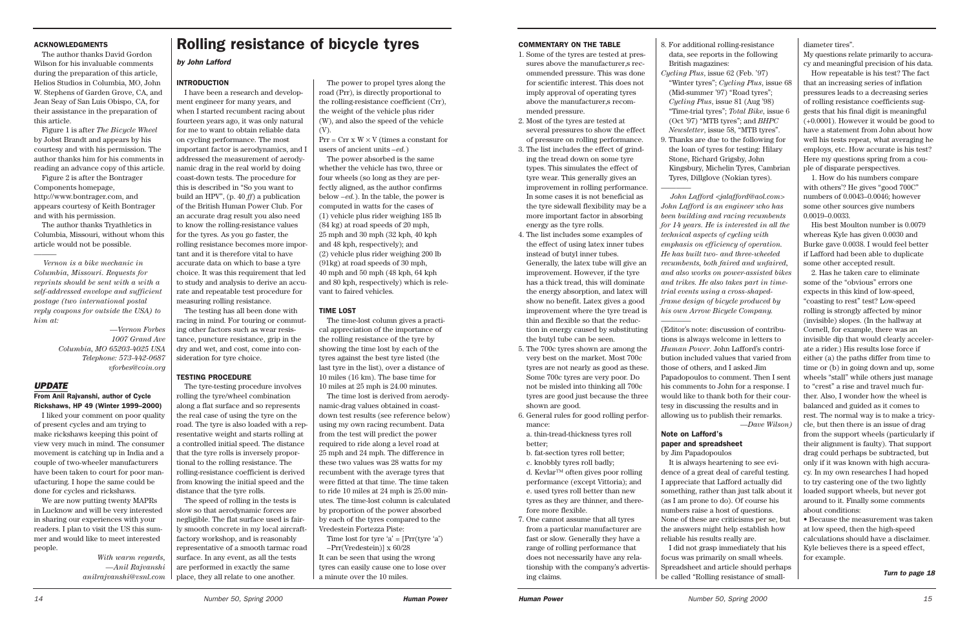### ACKNOWLEDGMENTS

The author thanks David Gordon Wilson for his invaluable comments during the preparation of this article, Helios Studios in Columbia, MO, John W. Stephens of Garden Grove, CA, and Jean Seay of San Luis Obispo, CA, for their assistance in the preparation of this article.

Figure 1 is after *The Bicycle Wheel* by Jobst Brandt and appears by his courtesy and with his permission. The author thanks him for his comments in reading an advance copy of this article.

Figure 2 is after the Bontrager Components homepage, http://www.bontrager.com, and appears courtesy of Keith Bontrager and with his permission.

The author thanks Tryathletics in Columbia, Missouri, without whom this article would not be possible.

———

*Vernon is a bike mechanic in Columbia, Missouri. Requests for reprints should be sent with a with a self-addressed envelope and sufficient postage (two international postal reply coupons for outside the USA) to him at:*

> *—Vernon Forbes 1007 Grand Ave Columbia, MO 65203-4025 USA Telephone: 573-442-0687 vforbes@coin.org*

### *UPDATE*

### From Anil Rajvanshi, author of Cycle Rickshaws, HP 49 (Winter 1999–2000)

I liked your comment on poor quality of present cycles and am trying to make rickshaws keeping this point of view very much in mind. The consumer movement is catching up in India and a couple of two-wheeler manufacturers have been taken to court for poor manufacturing. I hope the same could be done for cycles and rickshaws.

We are now putting twenty MAPRs in Lucknow and will be very interested in sharing our experiences with your readers. I plan to visit the US this summer and would like to meet interested people.

> *With warm regards, —Anil Rajvanshi anilrajvanshi@vsnl.com*

### INTRODUCTION

 $Prr = Crr x W \times V$  (times a constant for users of ancient units *–ed.*)

I have been a research and development engineer for many years, and when I started recumbent racing about fourteen years ago, it was only natural for me to want to obtain reliable data on cycling performance. The most important factor is aerodynamics, and I addressed the measurement of aerodynamic drag in the real world by doing coast-down tests. The procedure for this is described in "So you want to build an HPV", (p. 40 ff) a publication of the British Human Power Club. For an accurate drag result you also need to know the rolling-resistance values for the tyres. As you go faster, the rolling resistance becomes more important and it is therefore vital to have accurate data on which to base a tyre choice. It was this requirement that led to study and analysis to derive an accurate and repeatable test procedure for measuring rolling resistance.

> Time lost for tyre  $a' = [Pr(fyre 'a')]$ –Prr(Vredestein)] x 60/28

The testing has all been done with racing in mind. For touring or commuting other factors such as wear resistance, puncture resistance, grip in the dry and wet, and cost, come into consideration for tyre choice.

### TESTING PROCEDURE

The tyre-testing procedure involves rolling the tyre/wheel combination along a flat surface and so represents the real case of using the tyre on the road. The tyre is also loaded with a representative weight and starts rolling at a controlled initial speed. The distance that the tyre rolls is inversely proportional to the rolling resistance. The rolling-resistance coefficient is derived from knowing the initial speed and the distance that the tyre rolls.

The speed of rolling in the tests is slow so that aerodynamic forces are negligible. The flat surface used is fairly smooth concrete in my local aircraftfactory workshop, and is reasonably representative of a smooth tarmac road surface. In any event, as all the tests are performed in exactly the same place, they all relate to one another.

The power to propel tyres along the road (Prr), is directly proportional to the rolling-resistance coefficient (Crr), the weight of the vehicle plus rider (W), and also the speed of the vehicle (V).

The power absorbed is the same whether the vehicle has two, three or four wheels (so long as they are perfectly aligned, as the author confirms below *–ed.*). In the table, the power is computed in watts for the cases of (1) vehicle plus rider weighing 185 lb (84 kg) at road speeds of 20 mph, 25 mph and 30 mph (32 kph, 40 kph and 48 kph, respectively); and (2) vehicle plus rider weighing 200 lb (91kg) at road speeds of 30 mph, 40 mph and 50 mph (48 kph, 64 kph and 80 kph, respectively) which is relevant to faired vehicles.

### TIME LOST

The time-lost column gives a practical appreciation of the importance of the rolling resistance of the tyre by showing the time lost by each of the tyres against the best tyre listed (the last tyre in the list), over a distance of 10 miles (16 km). The base time for 10 miles at 25 mph is 24.00 minutes.

The time lost is derived from aerodynamic-drag values obtained in coastdown test results (see reference below) using my own racing recumbent. Data from the test will predict the power required to ride along a level road at 25 mph and 24 mph. The difference in these two values was 28 watts for my recumbent with the average tyres that were fitted at that time. The time taken to ride 10 miles at 24 mph is 25.00 minutes. The time-lost column is calculated by proportion of the power absorbed by each of the tyres compared to the Vredestein Fortezza Piste:

It can be seen that using the wrong tyres can easily cause one to lose over a minute over the 10 miles.

# Rolling resistance of bicycle tyres

*by John Lafford*

diameter tires".

My questions relate primarily to accuracy and meaningful precision of his data.

How repeatable is his test? The fact that an increasing series of inflation pressures leads to a decreasing series of rolling resistance coefficients suggests that his final digit is meaningful (+0.0001). However it would be good to have a statement from John about how well his tests repeat, what averaging he employs, etc. How accurate is his test? Here my questions spring from a couple of disparate perspectives.

1. How do his numbers compare with others'? He gives "good 700C" numbers of 0.0043–0.0046; however some other sources give numbers 0.0019–0.0033.

His best Moulton number is 0.0079 whereas Kyle has given 0.0030 and Burke gave 0.0038. I would feel better if Lafford had been able to duplicate some other accepted result.

2. Has he taken care to eliminate some of the "obvious" errors one expects in this kind of low-speed, "coasting to rest" test? Low-speed rolling is strongly affected by minor (invisible) slopes. (In the hallway at Cornell, for example, there was an invisible dip that would clearly accelerate a rider.) His results lose force if either (a) the paths differ from time to time or (b) in going down and up, some wheels "stall" while others just manage to "crest" a rise and travel much further. Also, I wonder how the wheel is balanced and guided as it comes to rest. The normal way is to make a tricycle, but then there is an issue of drag from the support wheels (particularly if their alignment is faulty). That support drag could perhaps be subtracted, but only if it was known with high accuracy. In my own researches I had hoped to try castering one of the two lightly loaded support wheels, but never got around to it. Finally some comments about conditions:

• Because the measurement was taken at low speed, then the high-speed calculations should have a disclaimer. Kyle believes there is a speed effect, for example.

### COMMENTARY ON THE TABLE

- 1. Some of the tyres are tested at pressures above the manufacturer, srecommended pressure. This was done for scientific interest. This does not imply approval of operating tyres above the manufacturer, s recommended pressure.
- 2. Most of the tyres are tested at several pressures to show the effect of pressure on rolling performance.
- 3. The list includes the effect of grinding the tread down on some tyre types. This simulates the effect of tyre wear. This generally gives an improvement in rolling performance. In some cases it is not beneficial as the tyre sidewall flexibility may be a more important factor in absorbing energy as the tyre rolls.
- 4. The list includes some examples of the effect of using latex inner tubes instead of butyl inner tubes. Generally, the latex tube will give an improvement. However, if the tyre has a thick tread, this will dominate the energy absorption, and latex will show no benefit. Latex gives a good improvement where the tyre tread is thin and flexible so that the reduction in energy caused by substituting the butyl tube can be seen.
- 5. The 700c tyres shown are among the very best on the market. Most 700c tyres are not nearly as good as these. Some 700c tyres are very poor. Do not be misled into thinking all 700c tyres are good just because the three shown are good.
- 6. General rules for good rolling performance:

a. thin-tread-thickness tyres roll better;

b. fat-section tyres roll better;

c. knobbly tyres roll badly; d. Kevlar™ often gives poor rolling performance (except Vittoria); and e. used tyres roll better than new tyres as they are thinner, and therefore more flexible.

7. One cannot assume that all tyres from a particular manufacturer are fast or slow. Generally they have a range of rolling performance that does not necessarily have any relationship with the company's advertising claims.

8. For additional rolling-resistance data, see reports in the following British magazines: *Cycling Plus*, issue 62 (Feb. '97) "Winter tyres"; *Cycling Plus*, issue 68 (Mid-summer '97) "Road tyres"; *Cycling Plus*, issue 81 (Aug '98) "Time-trial tyres"; *Total Bike*, issue 6 (Oct '97) "MTB tyres"; and *BHPC Newsletter*, issue 58, "MTB tyres". 9. Thanks are due to the following for the loan of tyres for testing: Hilary Stone, Richard Grigsby, John Kingsbury, Michelin Tyres, Cambrian Tyres, Dillglove (Nokian tyres).

———— *John Lafford <jalafford@aol.com> John Lafford is an engineer who has been building and racing recumbents for 14 years. He is interested in all the technical aspects of cycling with emphasis on efficiency of operation. He has built two- and three-wheeled recumbents, both faired and unfaired, and also works on power-assisted bikes and trikes. He also takes part in timetrial events using a cross-shapedframe design of bicycle produced by his own Arrow Bicycle Company.*  ————

(Editor's note: discussion of contributions is always welcome in letters to *Human Power*. John Lafford's contribution included values that varied from those of others, and I asked Jim Papadopoulos to comment. Then I sent his comments to John for a response. I would like to thank both for their courtesy in discussing the results and in allowing us to publish their remarks. *—Dave Wilson)*

### Note on Lafford's paper and spreadsheet

by Jim Papadopoulos

It is always heartening to see evidence of a great deal of careful testing. I appreciate that Lafford actually did something, rather than just talk about it (as I am prone to do). Of course his numbers raise a host of questions. None of these are criticisms per se, but the answers might help establish how reliable his results really are.

I did not grasp immediately that his focus was primarily on small wheels. Spreadsheet and article should perhaps be called "Rolling resistance of small- *Turn to page 18*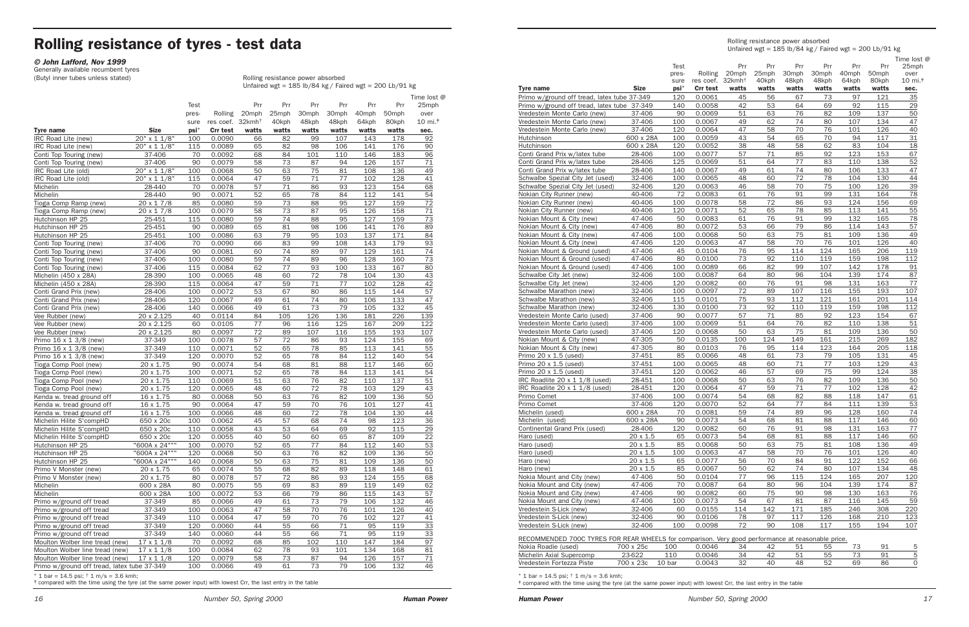# Rolling resistance of tyres - test data

*© John Lafford, Nov 1999*

Generally available recumbent tyres<br>(Butyl inner tubes unless stated)

Rolling resistance power absorbed Unfaired wgt = 185 lb/84 kg / Faired wgt = 200 Lb/91 kg

|                                                  |                  |            |                              |          |           |            |            |            |            | Time lost @                   |
|--------------------------------------------------|------------------|------------|------------------------------|----------|-----------|------------|------------|------------|------------|-------------------------------|
|                                                  |                  | Test       |                              | Prr      | Prr       | Prr        | Prr        | Prr        | Prr        | 25mph                         |
|                                                  |                  | pres-      | Rolling                      | 20mph    | 25mph     | 30mph      | 30mph      | 40mph      | 50mph      | over                          |
|                                                  |                  | sure       | res coef. 32kmh <sup>+</sup> |          | 40kph     | 48kph      | 48kph      | 64kph      | 80kph      | $10 \text{ mi.}$ <sup>#</sup> |
| <b>Tyre name</b>                                 | <b>Size</b>      | $psi^*$    | <b>Crr test</b>              | watts    | watts     | watts      | watts      | watts      | watts      | sec.                          |
| IRC Road Lite (new)                              | 20" x 1 1/8"     | 100        | 0.0090                       | 66       | 82        | 99         | 107        | 143        | 178        | 92                            |
| IRC Road Lite (new)                              | 20" x 1 1/8"     | 115        | 0.0089                       | 65       | 82        | 98         | 106        | 141        | 176        | 90                            |
| Conti Top Touring (new)                          | 37-406           | 70         | 0.0092                       | 68       | 84        | 101        | 110        | 146        | 183        | 96                            |
| Conti Top Touring (new)                          | 37-406           | 90         | 0.0079                       | 58       | 73        | 87         | 94         | 126        | 157        | 71                            |
| IRC Road Lite (old)                              | 20" x 1 1/8"     | 100        | 0.0068                       | 50       | 63        | 75         | 81         | 108        | 136        | 49                            |
| IRC Road Lite (old)                              | 20" x 1 1/8"     | 115        | 0.0064                       | 47       | 59        | 71         | 77         | 102        | 128        | 41                            |
| Michelin                                         | 28-440           | 70         | 0.0078                       | 57       | 71        | 86         | 93         | 123        | 154        | 68                            |
| Michelin                                         | 28-440           | 90         | 0.0071                       | 52       | 65        | 78         | 84         | 112        | 141        | 54                            |
| Tioga Comp Ramp (new)                            | $20 \times 17/8$ | 85         | 0.0080                       | 59       | 73        | 88         | 95         | 127        | 159        | 72                            |
| Tioga Comp Ramp (new)                            | 20 x 1 7/8       | 100        | 0.0079                       | 58       | 73        | 87         | 95         | 126        | 158        | 71                            |
| Hutchinson HP 25                                 | 25-451           | 115        | 0.0080                       | 59       | 74        | 88         | 95         | 127        | 159        | 73                            |
| Hutchinson HP 25                                 | 25-451           | 90         | 0.0089                       | 65       | 81        | 98         | 106        | 141        | 176        | 89                            |
| Hutchinson HP 25                                 | 25-451           | 100        | 0.0086                       | 63       | 79        | 95         | 103        | 137        | 171        | 84                            |
| Conti Top Touring (new)                          | 37-406           | 70         | 0.0090                       | 66       | 83        | 99         | 108        | 143        | 179        | 93                            |
| Conti Top Touring (new)                          | 37-406           | 90         | 0.0081                       | 60       | 74        | 89         | 97         | 129        | 161        | 74                            |
| Conti Top Touring (new)                          | 37-406           | 100        | 0.0080                       | 59       | 74        | 89         | 96         | 128        | 160        | 73                            |
| Conti Top Touring (new)                          | 37-406           | 115        | 0.0084                       | 62       | 77        | 93         | 100        | 133        | 167        | 80                            |
| Michelin (450 x 28A)                             | 28-390           | 100        | 0.0065                       | 48       | 60        | 72         | 78         | 104        | 130        | 43                            |
| Michelin (450 x 28A)                             | 28-390           | 115        | 0.0064                       | 47       | 59        | 71         | 77         | 102        | 128        | 42                            |
| Conti Grand Prix (new)                           | 28-406           | 100        | 0.0072                       | 53       | 67        | 80         | 86         | 115        | 144        | 57                            |
| Conti Grand Prix (new)                           | 28-406           | 120        | 0.0067                       | 49       | 61        | 74         | 80         | 106        | 133        | 47                            |
| Conti Grand Prix (new)                           | 28-406           | 140        | 0.0066                       | 49       | 61        | 73         | 79         | 105        | 132        | 45                            |
|                                                  |                  | 40         |                              |          |           | 126        |            |            |            |                               |
| Vee Rubber (new)                                 | 20 x 2.125       |            | 0.0114<br>0.0105             | 84<br>77 | 105<br>96 |            | 136<br>125 | 181<br>167 | 226<br>209 | 139                           |
| Vee Rubber (new)                                 | 20 x 2.125       | 60<br>80   | 0.0097                       | 72       | 89        | 116<br>107 | 116        |            |            | 122<br>107                    |
| Vee Rubber (new)                                 | 20 x 2.125       |            | 0.0078                       |          | 72        |            |            | 155        | 193        |                               |
| Primo 16 x 1 3/8 (new)<br>Primo 16 x 1 3/8 (new) | 37-349           | 100<br>110 |                              | 57<br>52 | 65        | 86<br>78   | 93<br>85   | 124<br>113 | 155<br>141 | 69                            |
|                                                  | 37-349<br>37-349 | 120        | 0.0071<br>0.0070             | 52       |           | 78         | 84         | 112        | 140        | 55                            |
| Primo 16 x 1 3/8 (new)                           |                  |            |                              |          | 65        |            |            |            |            | 54                            |
| Tioga Comp Pool (new)                            | 20 x 1.75        | 90         | 0.0074                       | 54       | 68        | 81         | 88         | 117        | 146        | 60                            |
| Tioga Comp Pool (new)                            | 20 x 1.75        | 100        | 0.0071                       | 52       | 65        | 78         | 84         | 113        | 141        | 54                            |
| Tioga Comp Pool (new)                            | 20 x 1.75        | 110        | 0.0069                       | 51       | 63        | 76         | 82         | 110        | 137        | 51                            |
| Tioga Comp Pool (new)                            | 20 x 1.75        | 120        | 0.0065                       | 48       | 60        | 72         | 78         | 103        | 129        | 43                            |
| Kenda w. tread ground off                        | 16 x 1.75        | 80         | 0.0068                       | 50       | 63        | 76         | 82         | 109        | 136        | 50                            |
| Kenda w. tread ground off                        | 16 x 1.75        | 90         | 0.0064                       | 47       | 59        | 70         | 76         | 101        | 127        | 41                            |
| Kenda w. tread ground off                        | 16 x 1.75        | 100        | 0.0066                       | 48       | 60        | 72         | 78         | 104        | 130        | 44                            |
| Michelin Hilite S'compHD                         | 650 x 20c        | 100        | 0.0062                       | 45       | 57        | 68         | 74         | 98         | 123        | 36                            |
| Michelin Hilite S'compHD                         | 650 x 20c        | 110        | 0.0058                       | 43       | 53        | 64         | 69         | 92         | 115        | 29                            |
| Michelin Hilite S'compHD                         | 650 x 20c        | 120        | 0.0055                       | 40       | 50        | 60         | 65         | 87         | 109        | 22                            |
| Hutchinson HP 25                                 | "600A x 24"""    | 100        | 0.0070                       | 52       | 65        | 77         | 84         | 112        | 140        | 53                            |
| Hutchinson HP 25                                 | "600A x 24"""    | 120        | 0.0068                       | 50       | 63        | 76         | 82         | 109        | 136        | 50                            |
| Hutchinson HP 25                                 | "600A x 24"""    | 140        | 0.0068                       | 50       | 63        | 75         | 81         | 109        | 136        | 50                            |
| Primo V Monster (new)                            | 20 x 1.75        | 65         | 0.0074                       | 55       | 68        | 82         | 89         | 118        | 148        | 61                            |
| Primo V Monster (new)                            | 20 x 1.75        | 80         | 0.0078                       | 57       | 72        | 86         | 93         | 124        | 155        | 68                            |
| Michelin                                         | 600 x 28A        | 80         | 0.0075                       | 55       | 69        | 83         | 89         | 119        | 149        | 62                            |
| Michelin                                         | 600 x 28A        | 100        | 0.0072                       | 53       | 66        | 79         | 86         | 115        | 143        | 57                            |
| Primo w/ground off tread                         | 37-349           | 85         | 0.0066                       | 49       | 61        | 73         | 79         | 106        | 132        | 46                            |
| Primo w/ground off tread                         | 37-349           | 100        | 0.0063                       | 47       | 58        | 70         | 76         | 101        | 126        | 40                            |
| Primo w/ground off tread                         | 37-349           | 110        | 0.0064                       | 47       | 59        | 70         | 76         | 102        | 127        | 41                            |
| Primo w/ground off tread                         | 37-349           | 120        | 0.0060                       | 44       | 55        | 66         | 71         | 95         | 119        | 33                            |
| Primo w/ground off tread                         | 37-349           | 140        | 0.0060                       | 44       | 55        | 66         | 71         | 95         | 119        | 33                            |
| Moulton Wolber line tread (new)                  | $17 \times 11/8$ | 70         | 0.0092                       | 68       | 85        | 102        | 110        | 147        | 184        | 97                            |
| Moulton Wolber line tread (new)                  | $17 \times 11/8$ | 100        | 0.0084                       | 62       | 78        | 93         | 101        | 134        | 168        | 81                            |
| Moulton Wolber line tread (new)                  | $17 \times 11/8$ | 120        | 0.0079                       | 58       | 73        | 87         | 94         | 126        | 157        | 71                            |
| Primo w/ground off tread, latex tube 37-349      |                  | 100        | 0.0066                       | 49       | 61        | 73         | 79         | 106        | 132        | 46                            |

 $*$  1 bar = 14.5 psi;  $\dagger$  1 m/s = 3.6 kmh;

‡ compared with the time using the tyre (at the same power input) with lowest Crr, the last entry in the table

| Time lost @<br>Test<br>Prr<br>Prr<br>Prr<br>Prr<br>Prr<br>Prr<br>25mph<br>25mph<br>20mph<br>30mph<br>30mph<br>50 <sub>mph</sub><br>pres-<br>Rolling<br>40mph<br>over<br>res coef. 32kmh <sup>+</sup><br>40kph<br>48kph<br>48kph<br>$10 \text{ mi}$ . $\text{m}$<br>64kph<br>80kph<br>sure<br><b>Size</b><br>psi*<br><b>Crr test</b><br>watts<br>watts<br>watts<br>watts<br>watts<br>watts<br>sec.<br>0.0061<br>56<br>67<br>121<br>35<br>Primo w/ground off tread, latex tube 37-349<br>120<br>45<br>73<br>97<br>53<br>0.0058<br>42<br>64<br>69<br>92<br>115<br>29<br>Primo w/ground off tread, latex tube 37-349<br>140<br>0.0069<br>51<br>76<br>50<br>37-406<br>90<br>63<br>82<br>109<br>137<br>0.0067<br>49<br>62<br>74<br>107<br>134<br>47<br>37-406<br>100<br>80<br>70<br>120<br>0.0064<br>47<br>58<br>76<br>101<br>126<br>40<br>Vredestein Monte Carlo (new)<br>37-406<br>0.0059<br>43<br>54<br>65<br>70<br>94<br>31<br>600 x 28A<br>100<br>117<br>58<br>Hutchinson<br>600 x 28A<br>120<br>0.0052<br>38<br>48<br>62<br>83<br>104<br><u>18</u><br>71<br>153<br>67<br>Conti Grand Prix w/latex tube<br>28-406<br>0.0077<br>57<br>85<br>92<br>123<br>100<br>77<br>52<br>28-406<br>125<br>0.0069<br>51<br>64<br>83<br>110<br>138<br>Conti Grand Prix w/latex tube<br>0.0067<br>47<br>Conti Grand Prix w/latex tube<br>28-406<br>140<br>49<br>61<br>74<br>80<br>106<br>133<br>72<br>44<br>100<br>0.0065<br>48<br>60<br>78<br>104<br>130<br>Schwalbe Spezial City Jet (used)<br>32-406<br>70<br>39<br>46<br>58<br>75<br>100<br>126<br>Schwalbe Spezial City Jet (used)<br>32-406<br>120<br>0.0063<br>72<br>76<br>91<br>131<br>78<br>Nokian City Runner (new)<br>40-406<br>0.0083<br>61<br>99<br>164<br>0.0078<br>58<br>72<br>86<br>93<br>124<br>156<br>69<br>Nokian City Runner (new)<br>40-406<br>100<br>113<br>55<br>0.0071<br>52<br>65<br>78<br>85<br>141<br>Nokian City Runner (new)<br>40-406<br>120<br>91<br>78<br>50<br>0.0083<br>61<br>76<br>132<br>Nokian Mount & City (new)<br>47-406<br>99<br>165<br>79<br>57<br>Nokian Mount & City (new)<br>47-406<br>80<br>0.0072<br>53<br>66<br>86<br>114<br>143<br>63<br>75<br>49<br>0.0068<br>50<br>81<br>109<br>136<br>Nokian Mount & City (new)<br>47-406<br>100<br>58<br>47-406<br>120<br>0.0063<br>47<br>70<br>76<br>101<br>126<br>40<br>Nokian Mount & City (new)<br>Nokian Mount & Ground (used)<br>47-406<br>45<br>0.0104<br>76<br>95<br>114<br>124<br>165<br>206<br>119<br>0.0100<br>73<br>92<br>110<br>119<br>159<br>198<br>112<br>Nokian Mount & Ground (used)<br>47-406<br>80<br>66<br>82<br>47-406<br>0.0089<br>99<br>107<br>142<br>178<br>91<br>Nokian Mount & Ground (used)<br>100<br>0.0087<br>64<br>96<br>139<br>87<br>Schwalbe City Jet (new)<br>32-406<br>100<br>80<br>104<br>174<br>120<br>0.0082<br>60<br>76<br>91<br>98<br>131<br>163<br>77<br>Schwalbe City Jet (new)<br>32-406<br>0.0097<br>72<br>89<br>107<br>116<br>155<br>193<br>107<br>Schwalbe Marathon (new)<br>32-406<br>100<br>0.0101<br>75<br>93<br>114<br>Schwalbe Marathon (new)<br>32-406<br>115<br>112<br>121<br>161<br>201<br>112<br>Schwalbe Marathon (new)<br>32-406<br>130<br>0.0100<br>73<br>92<br>110<br>119<br><u>159</u><br>198<br>71<br>123<br>90<br>0.0077<br>57<br>85<br>92<br>154<br>67<br>Vredestein Monte Carlo (used)<br>37-406<br>37-406<br>100<br>0.0069<br>51<br>64<br>76<br>82<br>110<br>138<br>51<br>Vredestein Monte Carlo (used)<br>63<br>75<br>Vredestein Monte Carlo (used)<br>37-406<br>120<br>0.0068<br>50<br>81<br>109<br>136<br>50<br>182<br>50<br>0.0135<br>100<br>124<br>149<br>215<br>269<br>Nokian Mount & City (new)<br>47-305<br>161<br>76<br>95<br>114<br>123<br>164<br>205<br>118<br>Nokian Mount & City (new)<br>47-305<br>80<br>0.0103<br>Primo 20 x 1.5 (used)<br>37-451<br>85<br>0.0066<br>48<br>61<br>73<br>79<br>105<br>131<br>45<br>37-451<br>0.0065<br>48<br>60<br>71<br>129<br>43<br>Primo 20 x 1.5 (used)<br>100<br>77<br>103<br>37-451<br>0.0062<br>46<br>57<br>69<br>75<br>99<br>124<br>38<br>Primo 20 x 1.5 (used)<br>120<br>76<br>0.0068<br>50<br>63<br>82<br>109<br>50<br>IRC Roadlite 20 x 1 1/8 (used)<br>28-451<br>100<br>136<br>47<br>59<br>71<br>102<br>42<br>28-451<br>120<br>0.0064<br><u>77</u><br>128<br>IRC Roadlite 20 x 1 1/8 (used)<br>37-406<br>Primo Comet<br>0.0074<br>54<br>118<br>147<br>100<br>68<br>82<br>88<br>61<br>37-406<br>120<br>0.0070<br>52<br>64<br>77<br>111<br>139<br>53<br>Primo Comet<br>84<br>Michelin (used)<br>600 x 28A<br>0.0081<br>59<br>74<br>89<br>96<br>128<br>160<br>74<br>70<br>0.0073<br>54<br>81<br>117<br>Michelin (used)<br>600 x 28A<br>90<br>68<br>88<br>146<br>60<br>60<br>76<br>91<br>131<br>77<br>Continental Grand Prix (used)<br>28-406<br>120<br>0.0082<br>98<br>163<br>0.0073<br>20 x 1.5<br>54<br>68<br>81<br>117<br>60<br>Haro (used)<br>65<br>88<br>146<br>20 x 1.5<br>85<br>0.0068<br>49<br>50<br>63<br>75<br>108<br>136<br>Haro (used)<br>81<br>20 x 1.5<br>0.0063<br>58<br>70<br>76<br>101<br>126<br>40<br>100<br>47<br>Haro (used)<br>0.0077<br>84<br>122<br>20 x 1.5<br>65<br>56<br>70<br>91<br>152<br>66<br>Haro (new)<br>20 x 1.5<br>85<br>0.0067<br>50<br>62<br>74<br>80<br>107<br>134<br>48<br>Haro (new)<br>Nokia Mount and City (new)<br>47-406<br>50<br>0.0104<br>77<br>96<br>165<br>207<br>120<br>115<br>124<br>47-406<br>70<br>0.0087<br>80<br>96<br>139<br>Nokia Mount and City (new)<br>64<br>104<br>174<br>87<br>Nokia Mount and City (new)<br>47-406<br>90<br>0.0082<br>75<br>90<br>130<br>76<br>60<br>98<br>163<br>0.0073<br>54<br>67<br>81<br>59<br>Nokia Mount and City (new)<br>47-406<br>100<br>87<br>116<br>145<br>Vredestein S-Lick (new)<br>32-406<br>0.0155<br>114<br>142<br>171<br>246<br>220<br>60<br>185<br>308<br>0.0106<br>Vredestein S-Lick (new)<br>32-406<br>90<br>78<br>97<br>117<br>126<br>168<br>210<br>123<br>0.0098<br>107<br>32-406<br>100<br>72<br>90<br>108<br>117<br>155<br>194<br>Vredestein S-Lick (new) |                                        | Rolling resistance power absorbed<br>Unfaired wgt = $185$ lb/84 kg / Faired wgt = $200$ Lb/91 kg |  |  |  |  |  |  |  |  |
|-----------------------------------------------------------------------------------------------------------------------------------------------------------------------------------------------------------------------------------------------------------------------------------------------------------------------------------------------------------------------------------------------------------------------------------------------------------------------------------------------------------------------------------------------------------------------------------------------------------------------------------------------------------------------------------------------------------------------------------------------------------------------------------------------------------------------------------------------------------------------------------------------------------------------------------------------------------------------------------------------------------------------------------------------------------------------------------------------------------------------------------------------------------------------------------------------------------------------------------------------------------------------------------------------------------------------------------------------------------------------------------------------------------------------------------------------------------------------------------------------------------------------------------------------------------------------------------------------------------------------------------------------------------------------------------------------------------------------------------------------------------------------------------------------------------------------------------------------------------------------------------------------------------------------------------------------------------------------------------------------------------------------------------------------------------------------------------------------------------------------------------------------------------------------------------------------------------------------------------------------------------------------------------------------------------------------------------------------------------------------------------------------------------------------------------------------------------------------------------------------------------------------------------------------------------------------------------------------------------------------------------------------------------------------------------------------------------------------------------------------------------------------------------------------------------------------------------------------------------------------------------------------------------------------------------------------------------------------------------------------------------------------------------------------------------------------------------------------------------------------------------------------------------------------------------------------------------------------------------------------------------------------------------------------------------------------------------------------------------------------------------------------------------------------------------------------------------------------------------------------------------------------------------------------------------------------------------------------------------------------------------------------------------------------------------------------------------------------------------------------------------------------------------------------------------------------------------------------------------------------------------------------------------------------------------------------------------------------------------------------------------------------------------------------------------------------------------------------------------------------------------------------------------------------------------------------------------------------------------------------------------------------------------------------------------------------------------------------------------------------------------------------------------------------------------------------------------------------------------------------------------------------------------------------------------------------------------------------------------------------------------------------------------------------------------------------------------------------------------------------------------------------------------------------------------------------------------------------------------------------------------------------------------------------------------------------------------------------------------------------------------------------------------------------------------------------------------------------------------------------------------------------------------------------------------------------------------------------------------------------------------------------------------------------------------------------------------------------------------------------------------------------------------------------------------------------------------------------------------------------------------------------------------------------------------------------------------------------------------------------------------------------------------------------------------------------------------------------------------------------------------------------------------------------------------------------------------------------------------------------------------------------------------|----------------------------------------|--------------------------------------------------------------------------------------------------|--|--|--|--|--|--|--|--|
|                                                                                                                                                                                                                                                                                                                                                                                                                                                                                                                                                                                                                                                                                                                                                                                                                                                                                                                                                                                                                                                                                                                                                                                                                                                                                                                                                                                                                                                                                                                                                                                                                                                                                                                                                                                                                                                                                                                                                                                                                                                                                                                                                                                                                                                                                                                                                                                                                                                                                                                                                                                                                                                                                                                                                                                                                                                                                                                                                                                                                                                                                                                                                                                                                                                                                                                                                                                                                                                                                                                                                                                                                                                                                                                                                                                                                                                                                                                                                                                                                                                                                                                                                                                                                                                                                                                                                                                                                                                                                                                                                                                                                                                                                                                                                                                                                                                                                                                                                                                                                                                                                                                                                                                                                                                                                                                                                                                                                                                                                                                                                                                                                                                                                                                                                                                                                                                                                                           | Tyre name                              |                                                                                                  |  |  |  |  |  |  |  |  |
|                                                                                                                                                                                                                                                                                                                                                                                                                                                                                                                                                                                                                                                                                                                                                                                                                                                                                                                                                                                                                                                                                                                                                                                                                                                                                                                                                                                                                                                                                                                                                                                                                                                                                                                                                                                                                                                                                                                                                                                                                                                                                                                                                                                                                                                                                                                                                                                                                                                                                                                                                                                                                                                                                                                                                                                                                                                                                                                                                                                                                                                                                                                                                                                                                                                                                                                                                                                                                                                                                                                                                                                                                                                                                                                                                                                                                                                                                                                                                                                                                                                                                                                                                                                                                                                                                                                                                                                                                                                                                                                                                                                                                                                                                                                                                                                                                                                                                                                                                                                                                                                                                                                                                                                                                                                                                                                                                                                                                                                                                                                                                                                                                                                                                                                                                                                                                                                                                                           |                                        |                                                                                                  |  |  |  |  |  |  |  |  |
|                                                                                                                                                                                                                                                                                                                                                                                                                                                                                                                                                                                                                                                                                                                                                                                                                                                                                                                                                                                                                                                                                                                                                                                                                                                                                                                                                                                                                                                                                                                                                                                                                                                                                                                                                                                                                                                                                                                                                                                                                                                                                                                                                                                                                                                                                                                                                                                                                                                                                                                                                                                                                                                                                                                                                                                                                                                                                                                                                                                                                                                                                                                                                                                                                                                                                                                                                                                                                                                                                                                                                                                                                                                                                                                                                                                                                                                                                                                                                                                                                                                                                                                                                                                                                                                                                                                                                                                                                                                                                                                                                                                                                                                                                                                                                                                                                                                                                                                                                                                                                                                                                                                                                                                                                                                                                                                                                                                                                                                                                                                                                                                                                                                                                                                                                                                                                                                                                                           |                                        |                                                                                                  |  |  |  |  |  |  |  |  |
|                                                                                                                                                                                                                                                                                                                                                                                                                                                                                                                                                                                                                                                                                                                                                                                                                                                                                                                                                                                                                                                                                                                                                                                                                                                                                                                                                                                                                                                                                                                                                                                                                                                                                                                                                                                                                                                                                                                                                                                                                                                                                                                                                                                                                                                                                                                                                                                                                                                                                                                                                                                                                                                                                                                                                                                                                                                                                                                                                                                                                                                                                                                                                                                                                                                                                                                                                                                                                                                                                                                                                                                                                                                                                                                                                                                                                                                                                                                                                                                                                                                                                                                                                                                                                                                                                                                                                                                                                                                                                                                                                                                                                                                                                                                                                                                                                                                                                                                                                                                                                                                                                                                                                                                                                                                                                                                                                                                                                                                                                                                                                                                                                                                                                                                                                                                                                                                                                                           | Vredestein Monte Carlo (new)           |                                                                                                  |  |  |  |  |  |  |  |  |
|                                                                                                                                                                                                                                                                                                                                                                                                                                                                                                                                                                                                                                                                                                                                                                                                                                                                                                                                                                                                                                                                                                                                                                                                                                                                                                                                                                                                                                                                                                                                                                                                                                                                                                                                                                                                                                                                                                                                                                                                                                                                                                                                                                                                                                                                                                                                                                                                                                                                                                                                                                                                                                                                                                                                                                                                                                                                                                                                                                                                                                                                                                                                                                                                                                                                                                                                                                                                                                                                                                                                                                                                                                                                                                                                                                                                                                                                                                                                                                                                                                                                                                                                                                                                                                                                                                                                                                                                                                                                                                                                                                                                                                                                                                                                                                                                                                                                                                                                                                                                                                                                                                                                                                                                                                                                                                                                                                                                                                                                                                                                                                                                                                                                                                                                                                                                                                                                                                           | Vredestein Monte Carlo (new)           |                                                                                                  |  |  |  |  |  |  |  |  |
|                                                                                                                                                                                                                                                                                                                                                                                                                                                                                                                                                                                                                                                                                                                                                                                                                                                                                                                                                                                                                                                                                                                                                                                                                                                                                                                                                                                                                                                                                                                                                                                                                                                                                                                                                                                                                                                                                                                                                                                                                                                                                                                                                                                                                                                                                                                                                                                                                                                                                                                                                                                                                                                                                                                                                                                                                                                                                                                                                                                                                                                                                                                                                                                                                                                                                                                                                                                                                                                                                                                                                                                                                                                                                                                                                                                                                                                                                                                                                                                                                                                                                                                                                                                                                                                                                                                                                                                                                                                                                                                                                                                                                                                                                                                                                                                                                                                                                                                                                                                                                                                                                                                                                                                                                                                                                                                                                                                                                                                                                                                                                                                                                                                                                                                                                                                                                                                                                                           |                                        |                                                                                                  |  |  |  |  |  |  |  |  |
|                                                                                                                                                                                                                                                                                                                                                                                                                                                                                                                                                                                                                                                                                                                                                                                                                                                                                                                                                                                                                                                                                                                                                                                                                                                                                                                                                                                                                                                                                                                                                                                                                                                                                                                                                                                                                                                                                                                                                                                                                                                                                                                                                                                                                                                                                                                                                                                                                                                                                                                                                                                                                                                                                                                                                                                                                                                                                                                                                                                                                                                                                                                                                                                                                                                                                                                                                                                                                                                                                                                                                                                                                                                                                                                                                                                                                                                                                                                                                                                                                                                                                                                                                                                                                                                                                                                                                                                                                                                                                                                                                                                                                                                                                                                                                                                                                                                                                                                                                                                                                                                                                                                                                                                                                                                                                                                                                                                                                                                                                                                                                                                                                                                                                                                                                                                                                                                                                                           | Hutchinson                             |                                                                                                  |  |  |  |  |  |  |  |  |
|                                                                                                                                                                                                                                                                                                                                                                                                                                                                                                                                                                                                                                                                                                                                                                                                                                                                                                                                                                                                                                                                                                                                                                                                                                                                                                                                                                                                                                                                                                                                                                                                                                                                                                                                                                                                                                                                                                                                                                                                                                                                                                                                                                                                                                                                                                                                                                                                                                                                                                                                                                                                                                                                                                                                                                                                                                                                                                                                                                                                                                                                                                                                                                                                                                                                                                                                                                                                                                                                                                                                                                                                                                                                                                                                                                                                                                                                                                                                                                                                                                                                                                                                                                                                                                                                                                                                                                                                                                                                                                                                                                                                                                                                                                                                                                                                                                                                                                                                                                                                                                                                                                                                                                                                                                                                                                                                                                                                                                                                                                                                                                                                                                                                                                                                                                                                                                                                                                           |                                        |                                                                                                  |  |  |  |  |  |  |  |  |
|                                                                                                                                                                                                                                                                                                                                                                                                                                                                                                                                                                                                                                                                                                                                                                                                                                                                                                                                                                                                                                                                                                                                                                                                                                                                                                                                                                                                                                                                                                                                                                                                                                                                                                                                                                                                                                                                                                                                                                                                                                                                                                                                                                                                                                                                                                                                                                                                                                                                                                                                                                                                                                                                                                                                                                                                                                                                                                                                                                                                                                                                                                                                                                                                                                                                                                                                                                                                                                                                                                                                                                                                                                                                                                                                                                                                                                                                                                                                                                                                                                                                                                                                                                                                                                                                                                                                                                                                                                                                                                                                                                                                                                                                                                                                                                                                                                                                                                                                                                                                                                                                                                                                                                                                                                                                                                                                                                                                                                                                                                                                                                                                                                                                                                                                                                                                                                                                                                           |                                        |                                                                                                  |  |  |  |  |  |  |  |  |
|                                                                                                                                                                                                                                                                                                                                                                                                                                                                                                                                                                                                                                                                                                                                                                                                                                                                                                                                                                                                                                                                                                                                                                                                                                                                                                                                                                                                                                                                                                                                                                                                                                                                                                                                                                                                                                                                                                                                                                                                                                                                                                                                                                                                                                                                                                                                                                                                                                                                                                                                                                                                                                                                                                                                                                                                                                                                                                                                                                                                                                                                                                                                                                                                                                                                                                                                                                                                                                                                                                                                                                                                                                                                                                                                                                                                                                                                                                                                                                                                                                                                                                                                                                                                                                                                                                                                                                                                                                                                                                                                                                                                                                                                                                                                                                                                                                                                                                                                                                                                                                                                                                                                                                                                                                                                                                                                                                                                                                                                                                                                                                                                                                                                                                                                                                                                                                                                                                           |                                        |                                                                                                  |  |  |  |  |  |  |  |  |
|                                                                                                                                                                                                                                                                                                                                                                                                                                                                                                                                                                                                                                                                                                                                                                                                                                                                                                                                                                                                                                                                                                                                                                                                                                                                                                                                                                                                                                                                                                                                                                                                                                                                                                                                                                                                                                                                                                                                                                                                                                                                                                                                                                                                                                                                                                                                                                                                                                                                                                                                                                                                                                                                                                                                                                                                                                                                                                                                                                                                                                                                                                                                                                                                                                                                                                                                                                                                                                                                                                                                                                                                                                                                                                                                                                                                                                                                                                                                                                                                                                                                                                                                                                                                                                                                                                                                                                                                                                                                                                                                                                                                                                                                                                                                                                                                                                                                                                                                                                                                                                                                                                                                                                                                                                                                                                                                                                                                                                                                                                                                                                                                                                                                                                                                                                                                                                                                                                           |                                        |                                                                                                  |  |  |  |  |  |  |  |  |
|                                                                                                                                                                                                                                                                                                                                                                                                                                                                                                                                                                                                                                                                                                                                                                                                                                                                                                                                                                                                                                                                                                                                                                                                                                                                                                                                                                                                                                                                                                                                                                                                                                                                                                                                                                                                                                                                                                                                                                                                                                                                                                                                                                                                                                                                                                                                                                                                                                                                                                                                                                                                                                                                                                                                                                                                                                                                                                                                                                                                                                                                                                                                                                                                                                                                                                                                                                                                                                                                                                                                                                                                                                                                                                                                                                                                                                                                                                                                                                                                                                                                                                                                                                                                                                                                                                                                                                                                                                                                                                                                                                                                                                                                                                                                                                                                                                                                                                                                                                                                                                                                                                                                                                                                                                                                                                                                                                                                                                                                                                                                                                                                                                                                                                                                                                                                                                                                                                           |                                        |                                                                                                  |  |  |  |  |  |  |  |  |
|                                                                                                                                                                                                                                                                                                                                                                                                                                                                                                                                                                                                                                                                                                                                                                                                                                                                                                                                                                                                                                                                                                                                                                                                                                                                                                                                                                                                                                                                                                                                                                                                                                                                                                                                                                                                                                                                                                                                                                                                                                                                                                                                                                                                                                                                                                                                                                                                                                                                                                                                                                                                                                                                                                                                                                                                                                                                                                                                                                                                                                                                                                                                                                                                                                                                                                                                                                                                                                                                                                                                                                                                                                                                                                                                                                                                                                                                                                                                                                                                                                                                                                                                                                                                                                                                                                                                                                                                                                                                                                                                                                                                                                                                                                                                                                                                                                                                                                                                                                                                                                                                                                                                                                                                                                                                                                                                                                                                                                                                                                                                                                                                                                                                                                                                                                                                                                                                                                           |                                        |                                                                                                  |  |  |  |  |  |  |  |  |
|                                                                                                                                                                                                                                                                                                                                                                                                                                                                                                                                                                                                                                                                                                                                                                                                                                                                                                                                                                                                                                                                                                                                                                                                                                                                                                                                                                                                                                                                                                                                                                                                                                                                                                                                                                                                                                                                                                                                                                                                                                                                                                                                                                                                                                                                                                                                                                                                                                                                                                                                                                                                                                                                                                                                                                                                                                                                                                                                                                                                                                                                                                                                                                                                                                                                                                                                                                                                                                                                                                                                                                                                                                                                                                                                                                                                                                                                                                                                                                                                                                                                                                                                                                                                                                                                                                                                                                                                                                                                                                                                                                                                                                                                                                                                                                                                                                                                                                                                                                                                                                                                                                                                                                                                                                                                                                                                                                                                                                                                                                                                                                                                                                                                                                                                                                                                                                                                                                           |                                        |                                                                                                  |  |  |  |  |  |  |  |  |
|                                                                                                                                                                                                                                                                                                                                                                                                                                                                                                                                                                                                                                                                                                                                                                                                                                                                                                                                                                                                                                                                                                                                                                                                                                                                                                                                                                                                                                                                                                                                                                                                                                                                                                                                                                                                                                                                                                                                                                                                                                                                                                                                                                                                                                                                                                                                                                                                                                                                                                                                                                                                                                                                                                                                                                                                                                                                                                                                                                                                                                                                                                                                                                                                                                                                                                                                                                                                                                                                                                                                                                                                                                                                                                                                                                                                                                                                                                                                                                                                                                                                                                                                                                                                                                                                                                                                                                                                                                                                                                                                                                                                                                                                                                                                                                                                                                                                                                                                                                                                                                                                                                                                                                                                                                                                                                                                                                                                                                                                                                                                                                                                                                                                                                                                                                                                                                                                                                           |                                        |                                                                                                  |  |  |  |  |  |  |  |  |
|                                                                                                                                                                                                                                                                                                                                                                                                                                                                                                                                                                                                                                                                                                                                                                                                                                                                                                                                                                                                                                                                                                                                                                                                                                                                                                                                                                                                                                                                                                                                                                                                                                                                                                                                                                                                                                                                                                                                                                                                                                                                                                                                                                                                                                                                                                                                                                                                                                                                                                                                                                                                                                                                                                                                                                                                                                                                                                                                                                                                                                                                                                                                                                                                                                                                                                                                                                                                                                                                                                                                                                                                                                                                                                                                                                                                                                                                                                                                                                                                                                                                                                                                                                                                                                                                                                                                                                                                                                                                                                                                                                                                                                                                                                                                                                                                                                                                                                                                                                                                                                                                                                                                                                                                                                                                                                                                                                                                                                                                                                                                                                                                                                                                                                                                                                                                                                                                                                           |                                        |                                                                                                  |  |  |  |  |  |  |  |  |
|                                                                                                                                                                                                                                                                                                                                                                                                                                                                                                                                                                                                                                                                                                                                                                                                                                                                                                                                                                                                                                                                                                                                                                                                                                                                                                                                                                                                                                                                                                                                                                                                                                                                                                                                                                                                                                                                                                                                                                                                                                                                                                                                                                                                                                                                                                                                                                                                                                                                                                                                                                                                                                                                                                                                                                                                                                                                                                                                                                                                                                                                                                                                                                                                                                                                                                                                                                                                                                                                                                                                                                                                                                                                                                                                                                                                                                                                                                                                                                                                                                                                                                                                                                                                                                                                                                                                                                                                                                                                                                                                                                                                                                                                                                                                                                                                                                                                                                                                                                                                                                                                                                                                                                                                                                                                                                                                                                                                                                                                                                                                                                                                                                                                                                                                                                                                                                                                                                           |                                        |                                                                                                  |  |  |  |  |  |  |  |  |
|                                                                                                                                                                                                                                                                                                                                                                                                                                                                                                                                                                                                                                                                                                                                                                                                                                                                                                                                                                                                                                                                                                                                                                                                                                                                                                                                                                                                                                                                                                                                                                                                                                                                                                                                                                                                                                                                                                                                                                                                                                                                                                                                                                                                                                                                                                                                                                                                                                                                                                                                                                                                                                                                                                                                                                                                                                                                                                                                                                                                                                                                                                                                                                                                                                                                                                                                                                                                                                                                                                                                                                                                                                                                                                                                                                                                                                                                                                                                                                                                                                                                                                                                                                                                                                                                                                                                                                                                                                                                                                                                                                                                                                                                                                                                                                                                                                                                                                                                                                                                                                                                                                                                                                                                                                                                                                                                                                                                                                                                                                                                                                                                                                                                                                                                                                                                                                                                                                           |                                        |                                                                                                  |  |  |  |  |  |  |  |  |
|                                                                                                                                                                                                                                                                                                                                                                                                                                                                                                                                                                                                                                                                                                                                                                                                                                                                                                                                                                                                                                                                                                                                                                                                                                                                                                                                                                                                                                                                                                                                                                                                                                                                                                                                                                                                                                                                                                                                                                                                                                                                                                                                                                                                                                                                                                                                                                                                                                                                                                                                                                                                                                                                                                                                                                                                                                                                                                                                                                                                                                                                                                                                                                                                                                                                                                                                                                                                                                                                                                                                                                                                                                                                                                                                                                                                                                                                                                                                                                                                                                                                                                                                                                                                                                                                                                                                                                                                                                                                                                                                                                                                                                                                                                                                                                                                                                                                                                                                                                                                                                                                                                                                                                                                                                                                                                                                                                                                                                                                                                                                                                                                                                                                                                                                                                                                                                                                                                           |                                        |                                                                                                  |  |  |  |  |  |  |  |  |
|                                                                                                                                                                                                                                                                                                                                                                                                                                                                                                                                                                                                                                                                                                                                                                                                                                                                                                                                                                                                                                                                                                                                                                                                                                                                                                                                                                                                                                                                                                                                                                                                                                                                                                                                                                                                                                                                                                                                                                                                                                                                                                                                                                                                                                                                                                                                                                                                                                                                                                                                                                                                                                                                                                                                                                                                                                                                                                                                                                                                                                                                                                                                                                                                                                                                                                                                                                                                                                                                                                                                                                                                                                                                                                                                                                                                                                                                                                                                                                                                                                                                                                                                                                                                                                                                                                                                                                                                                                                                                                                                                                                                                                                                                                                                                                                                                                                                                                                                                                                                                                                                                                                                                                                                                                                                                                                                                                                                                                                                                                                                                                                                                                                                                                                                                                                                                                                                                                           |                                        |                                                                                                  |  |  |  |  |  |  |  |  |
|                                                                                                                                                                                                                                                                                                                                                                                                                                                                                                                                                                                                                                                                                                                                                                                                                                                                                                                                                                                                                                                                                                                                                                                                                                                                                                                                                                                                                                                                                                                                                                                                                                                                                                                                                                                                                                                                                                                                                                                                                                                                                                                                                                                                                                                                                                                                                                                                                                                                                                                                                                                                                                                                                                                                                                                                                                                                                                                                                                                                                                                                                                                                                                                                                                                                                                                                                                                                                                                                                                                                                                                                                                                                                                                                                                                                                                                                                                                                                                                                                                                                                                                                                                                                                                                                                                                                                                                                                                                                                                                                                                                                                                                                                                                                                                                                                                                                                                                                                                                                                                                                                                                                                                                                                                                                                                                                                                                                                                                                                                                                                                                                                                                                                                                                                                                                                                                                                                           |                                        |                                                                                                  |  |  |  |  |  |  |  |  |
|                                                                                                                                                                                                                                                                                                                                                                                                                                                                                                                                                                                                                                                                                                                                                                                                                                                                                                                                                                                                                                                                                                                                                                                                                                                                                                                                                                                                                                                                                                                                                                                                                                                                                                                                                                                                                                                                                                                                                                                                                                                                                                                                                                                                                                                                                                                                                                                                                                                                                                                                                                                                                                                                                                                                                                                                                                                                                                                                                                                                                                                                                                                                                                                                                                                                                                                                                                                                                                                                                                                                                                                                                                                                                                                                                                                                                                                                                                                                                                                                                                                                                                                                                                                                                                                                                                                                                                                                                                                                                                                                                                                                                                                                                                                                                                                                                                                                                                                                                                                                                                                                                                                                                                                                                                                                                                                                                                                                                                                                                                                                                                                                                                                                                                                                                                                                                                                                                                           |                                        |                                                                                                  |  |  |  |  |  |  |  |  |
|                                                                                                                                                                                                                                                                                                                                                                                                                                                                                                                                                                                                                                                                                                                                                                                                                                                                                                                                                                                                                                                                                                                                                                                                                                                                                                                                                                                                                                                                                                                                                                                                                                                                                                                                                                                                                                                                                                                                                                                                                                                                                                                                                                                                                                                                                                                                                                                                                                                                                                                                                                                                                                                                                                                                                                                                                                                                                                                                                                                                                                                                                                                                                                                                                                                                                                                                                                                                                                                                                                                                                                                                                                                                                                                                                                                                                                                                                                                                                                                                                                                                                                                                                                                                                                                                                                                                                                                                                                                                                                                                                                                                                                                                                                                                                                                                                                                                                                                                                                                                                                                                                                                                                                                                                                                                                                                                                                                                                                                                                                                                                                                                                                                                                                                                                                                                                                                                                                           |                                        |                                                                                                  |  |  |  |  |  |  |  |  |
|                                                                                                                                                                                                                                                                                                                                                                                                                                                                                                                                                                                                                                                                                                                                                                                                                                                                                                                                                                                                                                                                                                                                                                                                                                                                                                                                                                                                                                                                                                                                                                                                                                                                                                                                                                                                                                                                                                                                                                                                                                                                                                                                                                                                                                                                                                                                                                                                                                                                                                                                                                                                                                                                                                                                                                                                                                                                                                                                                                                                                                                                                                                                                                                                                                                                                                                                                                                                                                                                                                                                                                                                                                                                                                                                                                                                                                                                                                                                                                                                                                                                                                                                                                                                                                                                                                                                                                                                                                                                                                                                                                                                                                                                                                                                                                                                                                                                                                                                                                                                                                                                                                                                                                                                                                                                                                                                                                                                                                                                                                                                                                                                                                                                                                                                                                                                                                                                                                           |                                        |                                                                                                  |  |  |  |  |  |  |  |  |
|                                                                                                                                                                                                                                                                                                                                                                                                                                                                                                                                                                                                                                                                                                                                                                                                                                                                                                                                                                                                                                                                                                                                                                                                                                                                                                                                                                                                                                                                                                                                                                                                                                                                                                                                                                                                                                                                                                                                                                                                                                                                                                                                                                                                                                                                                                                                                                                                                                                                                                                                                                                                                                                                                                                                                                                                                                                                                                                                                                                                                                                                                                                                                                                                                                                                                                                                                                                                                                                                                                                                                                                                                                                                                                                                                                                                                                                                                                                                                                                                                                                                                                                                                                                                                                                                                                                                                                                                                                                                                                                                                                                                                                                                                                                                                                                                                                                                                                                                                                                                                                                                                                                                                                                                                                                                                                                                                                                                                                                                                                                                                                                                                                                                                                                                                                                                                                                                                                           |                                        |                                                                                                  |  |  |  |  |  |  |  |  |
|                                                                                                                                                                                                                                                                                                                                                                                                                                                                                                                                                                                                                                                                                                                                                                                                                                                                                                                                                                                                                                                                                                                                                                                                                                                                                                                                                                                                                                                                                                                                                                                                                                                                                                                                                                                                                                                                                                                                                                                                                                                                                                                                                                                                                                                                                                                                                                                                                                                                                                                                                                                                                                                                                                                                                                                                                                                                                                                                                                                                                                                                                                                                                                                                                                                                                                                                                                                                                                                                                                                                                                                                                                                                                                                                                                                                                                                                                                                                                                                                                                                                                                                                                                                                                                                                                                                                                                                                                                                                                                                                                                                                                                                                                                                                                                                                                                                                                                                                                                                                                                                                                                                                                                                                                                                                                                                                                                                                                                                                                                                                                                                                                                                                                                                                                                                                                                                                                                           |                                        |                                                                                                  |  |  |  |  |  |  |  |  |
|                                                                                                                                                                                                                                                                                                                                                                                                                                                                                                                                                                                                                                                                                                                                                                                                                                                                                                                                                                                                                                                                                                                                                                                                                                                                                                                                                                                                                                                                                                                                                                                                                                                                                                                                                                                                                                                                                                                                                                                                                                                                                                                                                                                                                                                                                                                                                                                                                                                                                                                                                                                                                                                                                                                                                                                                                                                                                                                                                                                                                                                                                                                                                                                                                                                                                                                                                                                                                                                                                                                                                                                                                                                                                                                                                                                                                                                                                                                                                                                                                                                                                                                                                                                                                                                                                                                                                                                                                                                                                                                                                                                                                                                                                                                                                                                                                                                                                                                                                                                                                                                                                                                                                                                                                                                                                                                                                                                                                                                                                                                                                                                                                                                                                                                                                                                                                                                                                                           |                                        |                                                                                                  |  |  |  |  |  |  |  |  |
|                                                                                                                                                                                                                                                                                                                                                                                                                                                                                                                                                                                                                                                                                                                                                                                                                                                                                                                                                                                                                                                                                                                                                                                                                                                                                                                                                                                                                                                                                                                                                                                                                                                                                                                                                                                                                                                                                                                                                                                                                                                                                                                                                                                                                                                                                                                                                                                                                                                                                                                                                                                                                                                                                                                                                                                                                                                                                                                                                                                                                                                                                                                                                                                                                                                                                                                                                                                                                                                                                                                                                                                                                                                                                                                                                                                                                                                                                                                                                                                                                                                                                                                                                                                                                                                                                                                                                                                                                                                                                                                                                                                                                                                                                                                                                                                                                                                                                                                                                                                                                                                                                                                                                                                                                                                                                                                                                                                                                                                                                                                                                                                                                                                                                                                                                                                                                                                                                                           |                                        |                                                                                                  |  |  |  |  |  |  |  |  |
|                                                                                                                                                                                                                                                                                                                                                                                                                                                                                                                                                                                                                                                                                                                                                                                                                                                                                                                                                                                                                                                                                                                                                                                                                                                                                                                                                                                                                                                                                                                                                                                                                                                                                                                                                                                                                                                                                                                                                                                                                                                                                                                                                                                                                                                                                                                                                                                                                                                                                                                                                                                                                                                                                                                                                                                                                                                                                                                                                                                                                                                                                                                                                                                                                                                                                                                                                                                                                                                                                                                                                                                                                                                                                                                                                                                                                                                                                                                                                                                                                                                                                                                                                                                                                                                                                                                                                                                                                                                                                                                                                                                                                                                                                                                                                                                                                                                                                                                                                                                                                                                                                                                                                                                                                                                                                                                                                                                                                                                                                                                                                                                                                                                                                                                                                                                                                                                                                                           |                                        |                                                                                                  |  |  |  |  |  |  |  |  |
|                                                                                                                                                                                                                                                                                                                                                                                                                                                                                                                                                                                                                                                                                                                                                                                                                                                                                                                                                                                                                                                                                                                                                                                                                                                                                                                                                                                                                                                                                                                                                                                                                                                                                                                                                                                                                                                                                                                                                                                                                                                                                                                                                                                                                                                                                                                                                                                                                                                                                                                                                                                                                                                                                                                                                                                                                                                                                                                                                                                                                                                                                                                                                                                                                                                                                                                                                                                                                                                                                                                                                                                                                                                                                                                                                                                                                                                                                                                                                                                                                                                                                                                                                                                                                                                                                                                                                                                                                                                                                                                                                                                                                                                                                                                                                                                                                                                                                                                                                                                                                                                                                                                                                                                                                                                                                                                                                                                                                                                                                                                                                                                                                                                                                                                                                                                                                                                                                                           |                                        |                                                                                                  |  |  |  |  |  |  |  |  |
|                                                                                                                                                                                                                                                                                                                                                                                                                                                                                                                                                                                                                                                                                                                                                                                                                                                                                                                                                                                                                                                                                                                                                                                                                                                                                                                                                                                                                                                                                                                                                                                                                                                                                                                                                                                                                                                                                                                                                                                                                                                                                                                                                                                                                                                                                                                                                                                                                                                                                                                                                                                                                                                                                                                                                                                                                                                                                                                                                                                                                                                                                                                                                                                                                                                                                                                                                                                                                                                                                                                                                                                                                                                                                                                                                                                                                                                                                                                                                                                                                                                                                                                                                                                                                                                                                                                                                                                                                                                                                                                                                                                                                                                                                                                                                                                                                                                                                                                                                                                                                                                                                                                                                                                                                                                                                                                                                                                                                                                                                                                                                                                                                                                                                                                                                                                                                                                                                                           |                                        |                                                                                                  |  |  |  |  |  |  |  |  |
|                                                                                                                                                                                                                                                                                                                                                                                                                                                                                                                                                                                                                                                                                                                                                                                                                                                                                                                                                                                                                                                                                                                                                                                                                                                                                                                                                                                                                                                                                                                                                                                                                                                                                                                                                                                                                                                                                                                                                                                                                                                                                                                                                                                                                                                                                                                                                                                                                                                                                                                                                                                                                                                                                                                                                                                                                                                                                                                                                                                                                                                                                                                                                                                                                                                                                                                                                                                                                                                                                                                                                                                                                                                                                                                                                                                                                                                                                                                                                                                                                                                                                                                                                                                                                                                                                                                                                                                                                                                                                                                                                                                                                                                                                                                                                                                                                                                                                                                                                                                                                                                                                                                                                                                                                                                                                                                                                                                                                                                                                                                                                                                                                                                                                                                                                                                                                                                                                                           |                                        |                                                                                                  |  |  |  |  |  |  |  |  |
|                                                                                                                                                                                                                                                                                                                                                                                                                                                                                                                                                                                                                                                                                                                                                                                                                                                                                                                                                                                                                                                                                                                                                                                                                                                                                                                                                                                                                                                                                                                                                                                                                                                                                                                                                                                                                                                                                                                                                                                                                                                                                                                                                                                                                                                                                                                                                                                                                                                                                                                                                                                                                                                                                                                                                                                                                                                                                                                                                                                                                                                                                                                                                                                                                                                                                                                                                                                                                                                                                                                                                                                                                                                                                                                                                                                                                                                                                                                                                                                                                                                                                                                                                                                                                                                                                                                                                                                                                                                                                                                                                                                                                                                                                                                                                                                                                                                                                                                                                                                                                                                                                                                                                                                                                                                                                                                                                                                                                                                                                                                                                                                                                                                                                                                                                                                                                                                                                                           |                                        |                                                                                                  |  |  |  |  |  |  |  |  |
|                                                                                                                                                                                                                                                                                                                                                                                                                                                                                                                                                                                                                                                                                                                                                                                                                                                                                                                                                                                                                                                                                                                                                                                                                                                                                                                                                                                                                                                                                                                                                                                                                                                                                                                                                                                                                                                                                                                                                                                                                                                                                                                                                                                                                                                                                                                                                                                                                                                                                                                                                                                                                                                                                                                                                                                                                                                                                                                                                                                                                                                                                                                                                                                                                                                                                                                                                                                                                                                                                                                                                                                                                                                                                                                                                                                                                                                                                                                                                                                                                                                                                                                                                                                                                                                                                                                                                                                                                                                                                                                                                                                                                                                                                                                                                                                                                                                                                                                                                                                                                                                                                                                                                                                                                                                                                                                                                                                                                                                                                                                                                                                                                                                                                                                                                                                                                                                                                                           |                                        |                                                                                                  |  |  |  |  |  |  |  |  |
|                                                                                                                                                                                                                                                                                                                                                                                                                                                                                                                                                                                                                                                                                                                                                                                                                                                                                                                                                                                                                                                                                                                                                                                                                                                                                                                                                                                                                                                                                                                                                                                                                                                                                                                                                                                                                                                                                                                                                                                                                                                                                                                                                                                                                                                                                                                                                                                                                                                                                                                                                                                                                                                                                                                                                                                                                                                                                                                                                                                                                                                                                                                                                                                                                                                                                                                                                                                                                                                                                                                                                                                                                                                                                                                                                                                                                                                                                                                                                                                                                                                                                                                                                                                                                                                                                                                                                                                                                                                                                                                                                                                                                                                                                                                                                                                                                                                                                                                                                                                                                                                                                                                                                                                                                                                                                                                                                                                                                                                                                                                                                                                                                                                                                                                                                                                                                                                                                                           |                                        |                                                                                                  |  |  |  |  |  |  |  |  |
|                                                                                                                                                                                                                                                                                                                                                                                                                                                                                                                                                                                                                                                                                                                                                                                                                                                                                                                                                                                                                                                                                                                                                                                                                                                                                                                                                                                                                                                                                                                                                                                                                                                                                                                                                                                                                                                                                                                                                                                                                                                                                                                                                                                                                                                                                                                                                                                                                                                                                                                                                                                                                                                                                                                                                                                                                                                                                                                                                                                                                                                                                                                                                                                                                                                                                                                                                                                                                                                                                                                                                                                                                                                                                                                                                                                                                                                                                                                                                                                                                                                                                                                                                                                                                                                                                                                                                                                                                                                                                                                                                                                                                                                                                                                                                                                                                                                                                                                                                                                                                                                                                                                                                                                                                                                                                                                                                                                                                                                                                                                                                                                                                                                                                                                                                                                                                                                                                                           |                                        |                                                                                                  |  |  |  |  |  |  |  |  |
|                                                                                                                                                                                                                                                                                                                                                                                                                                                                                                                                                                                                                                                                                                                                                                                                                                                                                                                                                                                                                                                                                                                                                                                                                                                                                                                                                                                                                                                                                                                                                                                                                                                                                                                                                                                                                                                                                                                                                                                                                                                                                                                                                                                                                                                                                                                                                                                                                                                                                                                                                                                                                                                                                                                                                                                                                                                                                                                                                                                                                                                                                                                                                                                                                                                                                                                                                                                                                                                                                                                                                                                                                                                                                                                                                                                                                                                                                                                                                                                                                                                                                                                                                                                                                                                                                                                                                                                                                                                                                                                                                                                                                                                                                                                                                                                                                                                                                                                                                                                                                                                                                                                                                                                                                                                                                                                                                                                                                                                                                                                                                                                                                                                                                                                                                                                                                                                                                                           |                                        |                                                                                                  |  |  |  |  |  |  |  |  |
|                                                                                                                                                                                                                                                                                                                                                                                                                                                                                                                                                                                                                                                                                                                                                                                                                                                                                                                                                                                                                                                                                                                                                                                                                                                                                                                                                                                                                                                                                                                                                                                                                                                                                                                                                                                                                                                                                                                                                                                                                                                                                                                                                                                                                                                                                                                                                                                                                                                                                                                                                                                                                                                                                                                                                                                                                                                                                                                                                                                                                                                                                                                                                                                                                                                                                                                                                                                                                                                                                                                                                                                                                                                                                                                                                                                                                                                                                                                                                                                                                                                                                                                                                                                                                                                                                                                                                                                                                                                                                                                                                                                                                                                                                                                                                                                                                                                                                                                                                                                                                                                                                                                                                                                                                                                                                                                                                                                                                                                                                                                                                                                                                                                                                                                                                                                                                                                                                                           |                                        |                                                                                                  |  |  |  |  |  |  |  |  |
|                                                                                                                                                                                                                                                                                                                                                                                                                                                                                                                                                                                                                                                                                                                                                                                                                                                                                                                                                                                                                                                                                                                                                                                                                                                                                                                                                                                                                                                                                                                                                                                                                                                                                                                                                                                                                                                                                                                                                                                                                                                                                                                                                                                                                                                                                                                                                                                                                                                                                                                                                                                                                                                                                                                                                                                                                                                                                                                                                                                                                                                                                                                                                                                                                                                                                                                                                                                                                                                                                                                                                                                                                                                                                                                                                                                                                                                                                                                                                                                                                                                                                                                                                                                                                                                                                                                                                                                                                                                                                                                                                                                                                                                                                                                                                                                                                                                                                                                                                                                                                                                                                                                                                                                                                                                                                                                                                                                                                                                                                                                                                                                                                                                                                                                                                                                                                                                                                                           |                                        |                                                                                                  |  |  |  |  |  |  |  |  |
|                                                                                                                                                                                                                                                                                                                                                                                                                                                                                                                                                                                                                                                                                                                                                                                                                                                                                                                                                                                                                                                                                                                                                                                                                                                                                                                                                                                                                                                                                                                                                                                                                                                                                                                                                                                                                                                                                                                                                                                                                                                                                                                                                                                                                                                                                                                                                                                                                                                                                                                                                                                                                                                                                                                                                                                                                                                                                                                                                                                                                                                                                                                                                                                                                                                                                                                                                                                                                                                                                                                                                                                                                                                                                                                                                                                                                                                                                                                                                                                                                                                                                                                                                                                                                                                                                                                                                                                                                                                                                                                                                                                                                                                                                                                                                                                                                                                                                                                                                                                                                                                                                                                                                                                                                                                                                                                                                                                                                                                                                                                                                                                                                                                                                                                                                                                                                                                                                                           |                                        |                                                                                                  |  |  |  |  |  |  |  |  |
|                                                                                                                                                                                                                                                                                                                                                                                                                                                                                                                                                                                                                                                                                                                                                                                                                                                                                                                                                                                                                                                                                                                                                                                                                                                                                                                                                                                                                                                                                                                                                                                                                                                                                                                                                                                                                                                                                                                                                                                                                                                                                                                                                                                                                                                                                                                                                                                                                                                                                                                                                                                                                                                                                                                                                                                                                                                                                                                                                                                                                                                                                                                                                                                                                                                                                                                                                                                                                                                                                                                                                                                                                                                                                                                                                                                                                                                                                                                                                                                                                                                                                                                                                                                                                                                                                                                                                                                                                                                                                                                                                                                                                                                                                                                                                                                                                                                                                                                                                                                                                                                                                                                                                                                                                                                                                                                                                                                                                                                                                                                                                                                                                                                                                                                                                                                                                                                                                                           |                                        |                                                                                                  |  |  |  |  |  |  |  |  |
|                                                                                                                                                                                                                                                                                                                                                                                                                                                                                                                                                                                                                                                                                                                                                                                                                                                                                                                                                                                                                                                                                                                                                                                                                                                                                                                                                                                                                                                                                                                                                                                                                                                                                                                                                                                                                                                                                                                                                                                                                                                                                                                                                                                                                                                                                                                                                                                                                                                                                                                                                                                                                                                                                                                                                                                                                                                                                                                                                                                                                                                                                                                                                                                                                                                                                                                                                                                                                                                                                                                                                                                                                                                                                                                                                                                                                                                                                                                                                                                                                                                                                                                                                                                                                                                                                                                                                                                                                                                                                                                                                                                                                                                                                                                                                                                                                                                                                                                                                                                                                                                                                                                                                                                                                                                                                                                                                                                                                                                                                                                                                                                                                                                                                                                                                                                                                                                                                                           |                                        |                                                                                                  |  |  |  |  |  |  |  |  |
|                                                                                                                                                                                                                                                                                                                                                                                                                                                                                                                                                                                                                                                                                                                                                                                                                                                                                                                                                                                                                                                                                                                                                                                                                                                                                                                                                                                                                                                                                                                                                                                                                                                                                                                                                                                                                                                                                                                                                                                                                                                                                                                                                                                                                                                                                                                                                                                                                                                                                                                                                                                                                                                                                                                                                                                                                                                                                                                                                                                                                                                                                                                                                                                                                                                                                                                                                                                                                                                                                                                                                                                                                                                                                                                                                                                                                                                                                                                                                                                                                                                                                                                                                                                                                                                                                                                                                                                                                                                                                                                                                                                                                                                                                                                                                                                                                                                                                                                                                                                                                                                                                                                                                                                                                                                                                                                                                                                                                                                                                                                                                                                                                                                                                                                                                                                                                                                                                                           |                                        |                                                                                                  |  |  |  |  |  |  |  |  |
|                                                                                                                                                                                                                                                                                                                                                                                                                                                                                                                                                                                                                                                                                                                                                                                                                                                                                                                                                                                                                                                                                                                                                                                                                                                                                                                                                                                                                                                                                                                                                                                                                                                                                                                                                                                                                                                                                                                                                                                                                                                                                                                                                                                                                                                                                                                                                                                                                                                                                                                                                                                                                                                                                                                                                                                                                                                                                                                                                                                                                                                                                                                                                                                                                                                                                                                                                                                                                                                                                                                                                                                                                                                                                                                                                                                                                                                                                                                                                                                                                                                                                                                                                                                                                                                                                                                                                                                                                                                                                                                                                                                                                                                                                                                                                                                                                                                                                                                                                                                                                                                                                                                                                                                                                                                                                                                                                                                                                                                                                                                                                                                                                                                                                                                                                                                                                                                                                                           |                                        |                                                                                                  |  |  |  |  |  |  |  |  |
|                                                                                                                                                                                                                                                                                                                                                                                                                                                                                                                                                                                                                                                                                                                                                                                                                                                                                                                                                                                                                                                                                                                                                                                                                                                                                                                                                                                                                                                                                                                                                                                                                                                                                                                                                                                                                                                                                                                                                                                                                                                                                                                                                                                                                                                                                                                                                                                                                                                                                                                                                                                                                                                                                                                                                                                                                                                                                                                                                                                                                                                                                                                                                                                                                                                                                                                                                                                                                                                                                                                                                                                                                                                                                                                                                                                                                                                                                                                                                                                                                                                                                                                                                                                                                                                                                                                                                                                                                                                                                                                                                                                                                                                                                                                                                                                                                                                                                                                                                                                                                                                                                                                                                                                                                                                                                                                                                                                                                                                                                                                                                                                                                                                                                                                                                                                                                                                                                                           |                                        |                                                                                                  |  |  |  |  |  |  |  |  |
|                                                                                                                                                                                                                                                                                                                                                                                                                                                                                                                                                                                                                                                                                                                                                                                                                                                                                                                                                                                                                                                                                                                                                                                                                                                                                                                                                                                                                                                                                                                                                                                                                                                                                                                                                                                                                                                                                                                                                                                                                                                                                                                                                                                                                                                                                                                                                                                                                                                                                                                                                                                                                                                                                                                                                                                                                                                                                                                                                                                                                                                                                                                                                                                                                                                                                                                                                                                                                                                                                                                                                                                                                                                                                                                                                                                                                                                                                                                                                                                                                                                                                                                                                                                                                                                                                                                                                                                                                                                                                                                                                                                                                                                                                                                                                                                                                                                                                                                                                                                                                                                                                                                                                                                                                                                                                                                                                                                                                                                                                                                                                                                                                                                                                                                                                                                                                                                                                                           |                                        |                                                                                                  |  |  |  |  |  |  |  |  |
|                                                                                                                                                                                                                                                                                                                                                                                                                                                                                                                                                                                                                                                                                                                                                                                                                                                                                                                                                                                                                                                                                                                                                                                                                                                                                                                                                                                                                                                                                                                                                                                                                                                                                                                                                                                                                                                                                                                                                                                                                                                                                                                                                                                                                                                                                                                                                                                                                                                                                                                                                                                                                                                                                                                                                                                                                                                                                                                                                                                                                                                                                                                                                                                                                                                                                                                                                                                                                                                                                                                                                                                                                                                                                                                                                                                                                                                                                                                                                                                                                                                                                                                                                                                                                                                                                                                                                                                                                                                                                                                                                                                                                                                                                                                                                                                                                                                                                                                                                                                                                                                                                                                                                                                                                                                                                                                                                                                                                                                                                                                                                                                                                                                                                                                                                                                                                                                                                                           |                                        |                                                                                                  |  |  |  |  |  |  |  |  |
|                                                                                                                                                                                                                                                                                                                                                                                                                                                                                                                                                                                                                                                                                                                                                                                                                                                                                                                                                                                                                                                                                                                                                                                                                                                                                                                                                                                                                                                                                                                                                                                                                                                                                                                                                                                                                                                                                                                                                                                                                                                                                                                                                                                                                                                                                                                                                                                                                                                                                                                                                                                                                                                                                                                                                                                                                                                                                                                                                                                                                                                                                                                                                                                                                                                                                                                                                                                                                                                                                                                                                                                                                                                                                                                                                                                                                                                                                                                                                                                                                                                                                                                                                                                                                                                                                                                                                                                                                                                                                                                                                                                                                                                                                                                                                                                                                                                                                                                                                                                                                                                                                                                                                                                                                                                                                                                                                                                                                                                                                                                                                                                                                                                                                                                                                                                                                                                                                                           |                                        |                                                                                                  |  |  |  |  |  |  |  |  |
|                                                                                                                                                                                                                                                                                                                                                                                                                                                                                                                                                                                                                                                                                                                                                                                                                                                                                                                                                                                                                                                                                                                                                                                                                                                                                                                                                                                                                                                                                                                                                                                                                                                                                                                                                                                                                                                                                                                                                                                                                                                                                                                                                                                                                                                                                                                                                                                                                                                                                                                                                                                                                                                                                                                                                                                                                                                                                                                                                                                                                                                                                                                                                                                                                                                                                                                                                                                                                                                                                                                                                                                                                                                                                                                                                                                                                                                                                                                                                                                                                                                                                                                                                                                                                                                                                                                                                                                                                                                                                                                                                                                                                                                                                                                                                                                                                                                                                                                                                                                                                                                                                                                                                                                                                                                                                                                                                                                                                                                                                                                                                                                                                                                                                                                                                                                                                                                                                                           |                                        |                                                                                                  |  |  |  |  |  |  |  |  |
|                                                                                                                                                                                                                                                                                                                                                                                                                                                                                                                                                                                                                                                                                                                                                                                                                                                                                                                                                                                                                                                                                                                                                                                                                                                                                                                                                                                                                                                                                                                                                                                                                                                                                                                                                                                                                                                                                                                                                                                                                                                                                                                                                                                                                                                                                                                                                                                                                                                                                                                                                                                                                                                                                                                                                                                                                                                                                                                                                                                                                                                                                                                                                                                                                                                                                                                                                                                                                                                                                                                                                                                                                                                                                                                                                                                                                                                                                                                                                                                                                                                                                                                                                                                                                                                                                                                                                                                                                                                                                                                                                                                                                                                                                                                                                                                                                                                                                                                                                                                                                                                                                                                                                                                                                                                                                                                                                                                                                                                                                                                                                                                                                                                                                                                                                                                                                                                                                                           |                                        |                                                                                                  |  |  |  |  |  |  |  |  |
|                                                                                                                                                                                                                                                                                                                                                                                                                                                                                                                                                                                                                                                                                                                                                                                                                                                                                                                                                                                                                                                                                                                                                                                                                                                                                                                                                                                                                                                                                                                                                                                                                                                                                                                                                                                                                                                                                                                                                                                                                                                                                                                                                                                                                                                                                                                                                                                                                                                                                                                                                                                                                                                                                                                                                                                                                                                                                                                                                                                                                                                                                                                                                                                                                                                                                                                                                                                                                                                                                                                                                                                                                                                                                                                                                                                                                                                                                                                                                                                                                                                                                                                                                                                                                                                                                                                                                                                                                                                                                                                                                                                                                                                                                                                                                                                                                                                                                                                                                                                                                                                                                                                                                                                                                                                                                                                                                                                                                                                                                                                                                                                                                                                                                                                                                                                                                                                                                                           |                                        |                                                                                                  |  |  |  |  |  |  |  |  |
|                                                                                                                                                                                                                                                                                                                                                                                                                                                                                                                                                                                                                                                                                                                                                                                                                                                                                                                                                                                                                                                                                                                                                                                                                                                                                                                                                                                                                                                                                                                                                                                                                                                                                                                                                                                                                                                                                                                                                                                                                                                                                                                                                                                                                                                                                                                                                                                                                                                                                                                                                                                                                                                                                                                                                                                                                                                                                                                                                                                                                                                                                                                                                                                                                                                                                                                                                                                                                                                                                                                                                                                                                                                                                                                                                                                                                                                                                                                                                                                                                                                                                                                                                                                                                                                                                                                                                                                                                                                                                                                                                                                                                                                                                                                                                                                                                                                                                                                                                                                                                                                                                                                                                                                                                                                                                                                                                                                                                                                                                                                                                                                                                                                                                                                                                                                                                                                                                                           |                                        |                                                                                                  |  |  |  |  |  |  |  |  |
|                                                                                                                                                                                                                                                                                                                                                                                                                                                                                                                                                                                                                                                                                                                                                                                                                                                                                                                                                                                                                                                                                                                                                                                                                                                                                                                                                                                                                                                                                                                                                                                                                                                                                                                                                                                                                                                                                                                                                                                                                                                                                                                                                                                                                                                                                                                                                                                                                                                                                                                                                                                                                                                                                                                                                                                                                                                                                                                                                                                                                                                                                                                                                                                                                                                                                                                                                                                                                                                                                                                                                                                                                                                                                                                                                                                                                                                                                                                                                                                                                                                                                                                                                                                                                                                                                                                                                                                                                                                                                                                                                                                                                                                                                                                                                                                                                                                                                                                                                                                                                                                                                                                                                                                                                                                                                                                                                                                                                                                                                                                                                                                                                                                                                                                                                                                                                                                                                                           |                                        |                                                                                                  |  |  |  |  |  |  |  |  |
|                                                                                                                                                                                                                                                                                                                                                                                                                                                                                                                                                                                                                                                                                                                                                                                                                                                                                                                                                                                                                                                                                                                                                                                                                                                                                                                                                                                                                                                                                                                                                                                                                                                                                                                                                                                                                                                                                                                                                                                                                                                                                                                                                                                                                                                                                                                                                                                                                                                                                                                                                                                                                                                                                                                                                                                                                                                                                                                                                                                                                                                                                                                                                                                                                                                                                                                                                                                                                                                                                                                                                                                                                                                                                                                                                                                                                                                                                                                                                                                                                                                                                                                                                                                                                                                                                                                                                                                                                                                                                                                                                                                                                                                                                                                                                                                                                                                                                                                                                                                                                                                                                                                                                                                                                                                                                                                                                                                                                                                                                                                                                                                                                                                                                                                                                                                                                                                                                                           |                                        |                                                                                                  |  |  |  |  |  |  |  |  |
|                                                                                                                                                                                                                                                                                                                                                                                                                                                                                                                                                                                                                                                                                                                                                                                                                                                                                                                                                                                                                                                                                                                                                                                                                                                                                                                                                                                                                                                                                                                                                                                                                                                                                                                                                                                                                                                                                                                                                                                                                                                                                                                                                                                                                                                                                                                                                                                                                                                                                                                                                                                                                                                                                                                                                                                                                                                                                                                                                                                                                                                                                                                                                                                                                                                                                                                                                                                                                                                                                                                                                                                                                                                                                                                                                                                                                                                                                                                                                                                                                                                                                                                                                                                                                                                                                                                                                                                                                                                                                                                                                                                                                                                                                                                                                                                                                                                                                                                                                                                                                                                                                                                                                                                                                                                                                                                                                                                                                                                                                                                                                                                                                                                                                                                                                                                                                                                                                                           | DECOMMATNIDED<br><b>ZOOD TVDER FOD</b> |                                                                                                  |  |  |  |  |  |  |  |  |

| RECOMMENDED 700C TYRES FOR REAR WHEELS for comparison. Very good performance at reasonable price. |           |        |        |  |    |  |    |    |  |
|---------------------------------------------------------------------------------------------------|-----------|--------|--------|--|----|--|----|----|--|
| Nokia Roadie (used)                                                                               | 700 x 25c | 100    | ) በበ46 |  |    |  | ხხ |    |  |
| Michelin Axial Supercomp                                                                          | 23-622    | 110    | ) በበ46 |  | 42 |  | 55 |    |  |
| Vredestein Fortezza Piste                                                                         | 700 x 23c | 10 bar | ገ በበ43 |  | 40 |  | 52 | 69 |  |
|                                                                                                   |           |        |        |  |    |  |    |    |  |

 $*$  1 bar = 14.5 psi;  $\dagger$  1 m/s = 3.6 kmh;

‡ compared with the time using the tyre (at the same power input) with lowest Crr, the last entry in the table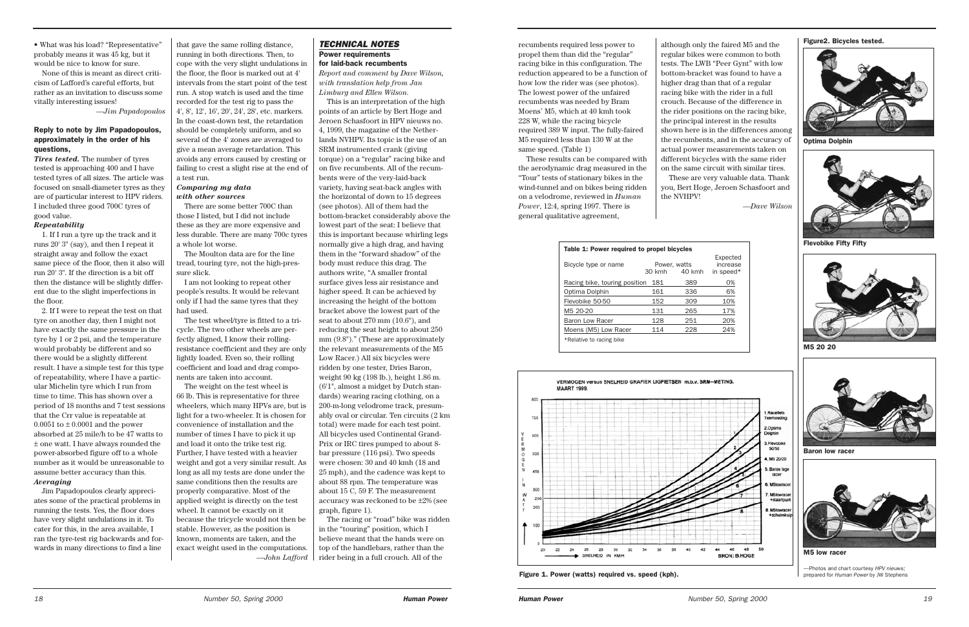### *TECHNICAL NOTES* Power requirements for laid-back recumbents

*Report and comment by Dave Wilson, with translation help from Jan Limburg and Ellen Wilson.*

This is an interpretation of the high points of an article by Bert Hoge and Jeroen Schasfoort in HPV nieuws no. 4, 1999, the magazine of the Netherlands NVHPV. Its topic is the use of an SRM instrumented crank (giving torque) on a "regular" racing bike and on five recumbents. All of the recumbents were of the very-laid-back variety, having seat-back angles with the horizontal of down to 15 degrees (see photos). All of them had the bottom-bracket considerably above the lowest part of the seat: I believe that this is important because whirling legs normally give a high drag, and having them in the "forward shadow" of the body must reduce this drag. The authors write, "A smaller frontal surface gives less air resistance and higher speed. It can be achieved by increasing the height of the bottom bracket above the lowest part of the seat to about 270 mm (10.6"), and reducing the seat height to about 250 mm (9.8")." (These are approximately the relevant measurements of the M5 Low Racer.) All six bicycles were ridden by one tester, Dries Baron, weight 90 kg (198 lb.), height 1.86 m. (6'1", almost a midget by Dutch standards) wearing racing clothing, on a 200-m-long velodrome track, presumably oval or circular. Ten circuits (2 km total) were made for each test point. All bicycles used Continental Grand-Prix or IRC tires pumped to about 8 bar pressure (116 psi). Two speeds were chosen: 30 and 40 kmh (18 and 25 mph), and the cadence was kept to about 88 rpm. The temperature was about 15 C, 59 F. The measurement accuracy was reckoned to be ±2% (see graph, figure 1).

The racing or "road" bike was ridden in the "touring" position, which I believe meant that the hands were on top of the handlebars, rather than the rider being in a full crouch. All of the

that gave the same rolling distance, running in both directions. Then, to cope with the very slight undulations in the floor, the floor is marked out at 4' intervals from the start point of the test run. A stop watch is used and the time recorded for the test rig to pass the 4', 8', 12', 16', 20', 24', 28', etc. markers.

• What was his load? "Representative" probably means it was 45 kg, but it would be nice to know for sure.

None of this is meant as direct criticism of Lafford's careful efforts, but rather as an invitation to discuss some vitally interesting issues!

*—Jim Papadopoulos*

### Reply to note by Jim Papadopoulos, approximately in the order of his questions,

*Tires tested.* The number of tyres tested is approaching 400 and I have tested tyres of all sizes. The article was focused on small-diameter tyres as they are of particular interest to HPV riders. I included three good 700C tyres of good value.

### *Repeatability*

1. If I run a tyre up the track and it runs 20' 3" (say), and then I repeat it straight away and follow the exact same piece of the floor, then it also will run 20' 3". If the direction is a bit off then the distance will be slightly different due to the slight imperfections in the floor.

2. If I were to repeat the test on that tyre on another day, then I might not have exactly the same pressure in the tyre by 1 or 2 psi, and the temperature would probably be different and so there would be a slightly different result. I have a simple test for this type of repeatability, where I have a particular Michelin tyre which I run from time to time. This has shown over a period of 18 months and 7 test sessions that the Crr value is repeatable at 0.0051 to  $\pm$  0.0001 and the power absorbed at 25 mile/h to be 47 watts to ± one watt. I have always rounded the power-absorbed figure off to a whole number as it would be unreasonable to assume better accuracy than this. *Averaging*

Jim Papadopoulos clearly appreciates some of the practical problems in running the tests. Yes, the floor does have very slight undulations in it. To cater for this, in the area available, I ran the tyre-test rig backwards and forwards in many directions to find a line

In the coast-down test, the retardation should be completely uniform, and so several of the 4' zones are averaged to give a mean average retardation. This avoids any errors caused by cresting or failing to crest a slight rise at the end of a test run.

### *Comparing my data with other sources*

There are some better 700C than those I listed, but I did not include these as they are more expensive and less durable. There are many 700c tyres a whole lot worse.

The Moulton data are for the line tread, touring tyre, not the high-pressure slick.

I am not looking to repeat other people's results. It would be relevant only if I had the same tyres that they had used.

The test wheel/tyre is fitted to a tricycle. The two other wheels are perfectly aligned, I know their rollingresistance coefficient and they are only lightly loaded. Even so, their rolling coefficient and load and drag components are taken into account.

The weight on the test wheel is 66 lb. This is representative for three wheelers, which many HPVs are, but is light for a two-wheeler. It is chosen for convenience of installation and the number of times I have to pick it up and load it onto the trike test rig. Further, I have tested with a heavier weight and got a very similar result. As long as all my tests are done under the same conditions then the results are properly comparative. Most of the applied weight is directly on the test wheel. It cannot be exactly on it because the tricycle would not then be stable. However, as the position is known, moments are taken, and the exact weight used in the computations. *—John Lafford*

although only the faired M5 and the regular bikes were common to both tests. The LWB "Peer Gynt" with low bottom-bracket was found to have a higher drag than that of a regular racing bike with the rider in a full crouch. Because of the difference in the rider positions on the racing bike, the principal interest in the results shown here is in the differences among the recumbents, and in the accuracy of actual power measurements taken on different bicycles with the same rider on the same circuit with similar tires. These are very valuable data. Thank you, Bert Hoge, Jeroen Schasfoort and the NVHPV!

*—Dave Wilson*

recumbents required less power to propel them than did the "regular" racing bike in this configuration. The reduction appeared to be a function of how low the rider was (see photos). The lowest power of the unfaired recumbents was needed by Bram Moens' M5, which at 40 kmh took 228 W, while the racing bicycle required 389 W input. The fully-faired M5 required less than 130 W at the same speed. (Table 1)

These results can be compared with the aerodynamic drag measured in the "Tour" tests of stationary bikes in the wind-tunnel and on bikes being ridden on a velodrome, reviewed in *Human Power*, 12:4, spring 1997. There is general qualitative agreement,

Table 1: Power required to propel bicycles



| Bicycle type or name          |        | Power, watts | EXPECTE<br>increas |
|-------------------------------|--------|--------------|--------------------|
|                               | 30 kmh | 40 kmh       | in speed           |
| Racing bike, touring position | 181    | 389          | 0%                 |
| Optima Dolphin                | 161    | 336          | 6%                 |
| Flevobike 50-50               | 152    | 309          | 10%                |
| M <sub>5</sub> 20-20          | 131    | 265          | 17%                |
| <b>Baron Low Racer</b>        | 128    | 251          | 20%                |
| Moens (M5) Low Racer          | 114    | 228          | 24%                |
| *Relative to racing bike      |        |              |                    |
|                               |        |              |                    |



Optima Dolphin



Flevobike Fifty Fifty



M5 20 20



Baron low racer

Figure 1. Power (watts) required vs. speed (kph).

Figure2. Bicycles tested.





—Photos and chart courtesy *HPV nieuws;*  prepared for *Human Power* by JW Stephens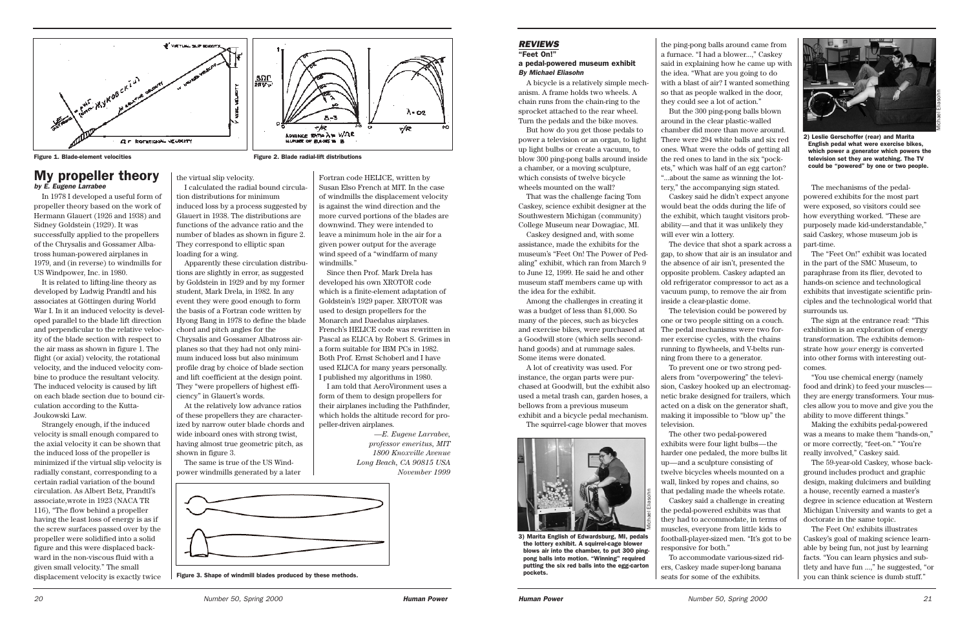### My propeller theory *by E. Eugene Larrabee*

In 1978 I developed a useful form of propeller theory based on the work of Hermann Glauert (1926 and 1938) and Sidney Goldstein (1929). It was successfully applied to the propellers of the Chrysalis and Gossamer Albatross human-powered airplanes in 1979, and (in reverse) to windmills for US Windpower, Inc. in 1980.

It is related to lifting-line theory as developed by Ludwig Prandtl and his associates at Göttingen during World War I. In it an induced velocity is developed parallel to the blade lift direction and perpendicular to the relative velocity of the blade section with respect to the air mass as shown in figure 1. The flight (or axial) velocity, the rotational velocity, and the induced velocity combine to produce the resultant velocity. The induced velocity is caused by lift on each blade section due to bound circulation according to the Kutta-Joukowski Law.

Strangely enough, if the induced velocity is small enough compared to the axial velocity it can be shown that the induced loss of the propeller is minimized if the virtual slip velocity is radially constant, corresponding to a certain radial variation of the bound circulation. As Albert Betz, Prandtl's associate,wrote in 1923 (NACA TR 116), "The flow behind a propeller having the least loss of energy is as if the screw surfaces passed over by the propeller were solidified into a solid figure and this were displaced backward in the non-viscous fluid with a given small velocity." The small displacement velocity is exactly twice

the virtual slip velocity.

I calculated the radial bound circulation distributions for minimum induced loss by a process suggested by Glauert in 1938. The distributions are functions of the advance ratio and the number of blades as shown in figure 2. They correspond to elliptic span loading for a wing.

Apparently these circulation distributions are slightly in error, as suggested by Goldstein in 1929 and by my former student, Mark Drela, in 1982. In any event they were good enough to form the basis of a Fortran code written by Hyong Bang in 1978 to define the blade chord and pitch angles for the Chrysalis and Gossamer Albatross airplanes so that they had not only minimum induced loss but also minimum profile drag by choice of blade section and lift coefficient at the design point. They "were propellers of highest efficiency" in Glauert's words.

At the relatively low advance ratios of these propellers they are characterized by narrow outer blade chords and wide inboard ones with strong twist, having almost true geometric pitch, as shown in figure 3.

The same is true of the US Windpower windmills generated by a later

Fortran code HELICE, written by Susan Elso French at MIT. In the case of windmills the displacement velocity is against the wind direction and the more curved portions of the blades are downwind. They were intended to leave a minimum hole in the air for a given power output for the average wind speed of a "windfarm of many windmills."

Since then Prof. Mark Drela has developed his own XROTOR code which is a finite-element adaptation of Goldstein's 1929 paper. XROTOR was used to design propellers for the Monarch and Daedalus airplanes. French's HELICE code was rewritten in Pascal as ELICA by Robert S. Grimes in a form suitable for IBM PCs in 1982. Both Prof. Ernst Schoberl and I have used ELICA for many years personally. I published my algorithms in 1980.

I am told that AeroVironment uses a form of them to design propellers for their airplanes including the Pathfinder, which holds the altitude record for propeller-driven airplanes.

> *—E. Eugene Larrabee, professor emeritus, MIT 1800 Knoxville Avenue Long Beach, CA 90815 USA November 1999*



Figure 3. Shape of windmill blades produced by these methods.



Michael Eliasohn

the ping-pong balls around came from

a furnace. "I had a blower...," Caskey said in explaining how he came up with the idea. "What are you going to do with a blast of air? I wanted something so that as people walked in the door, they could see a lot of action." But the 300 ping-pong balls blown around in the clear plastic-walled chamber did more than move around. There were 294 white balls and six red ones. What were the odds of getting all the red ones to land in the six "pockets," which was half of an egg carton? "...about the same as winning the lottery," the accompanying sign stated. Caskey said he didn't expect anyone would beat the odds during the life of the exhibit, which taught visitors probability—and that it was unlikely they

will ever win a lottery.

The device that shot a spark across a gap, to show that air is an insulator and the absence of air isn't, presented the opposite problem. Caskey adapted an old refrigerator compressor to act as a vacuum pump, to remove the air from inside a clear-plastic dome.

The television could be powered by one or two people sitting on a couch. The pedal mechanisms were two former exercise cycles, with the chains running to flywheels, and V-belts running from there to a generator.

To prevent one or two strong pedalers from "overpowering" the television, Caskey hooked up an electromagnetic brake designed for trailers, which acted on a disk on the generator shaft, making it impossible to "blow up" the

television.

The other two pedal-powered exhibits were four light bulbs—the harder one pedaled, the more bulbs lit up—and a sculpture consisting of twelve bicycles wheels mounted on a wall, linked by ropes and chains, so that pedaling made the wheels rotate. Caskey said a challenge in creating the pedal-powered exhibits was that they had to accommodate, in terms of muscles, everyone from little kids to football-player-sized men. "It's got to be responsive for both."

To accommodate various-sized riders, Caskey made super-long banana seats for some of the exhibits.

### *REVIEWS* "Feet On!"

### a pedal-powered museum exhibit *By Michael Eliasohn*

A bicycle is a relatively simple mechanism. A frame holds two wheels. A chain runs from the chain-ring to the sprocket attached to the rear wheel. Turn the pedals and the bike moves.

But how do you get those pedals to power a television or an organ, to light up light bulbs or create a vacuum, to blow 300 ping-pong balls around inside a chamber, or a moving sculpture, which consists of twelve bicycle wheels mounted on the wall?

That was the challenge facing Tom Caskey, science exhibit designer at the Southwestern Michigan (community) College Museum near Dowagiac, MI.

Caskey designed and, with some assistance, made the exhibits for the museum's "Feet On! The Power of Pedaling" exhibit, which ran from March 9 to June 12, 1999. He said he and other museum staff members came up with the idea for the exhibit.

Among the challenges in creating it was a budget of less than \$1,000. So many of the pieces, such as bicycles and exercise bikes, were purchased at a Goodwill store (which sells secondhand goods) and at rummage sales. Some items were donated.

A lot of creativity was used. For instance, the organ parts were purchased at Goodwill, but the exhibit also used a metal trash can, garden hoses, a bellows from a previous museum exhibit and a bicycle pedal mechanism. The squirrel-cage blower that moves

The mechanisms of the pedalpowered exhibits for the most part were exposed, so visitors could see how everything worked. "These are purposely made kid-understandable," said Caskey, whose museum job is part-time.

The "Feet On!" exhibit was located in the part of the SMC Museum, to paraphrase from its flier, devoted to hands-on science and technological exhibits that investigate scientific principles and the technological world that surrounds us.

The sign at the entrance read: "This exhibition is an exploration of energy transformation. The exhibits demonstrate how *your* energy is converted into other forms with interesting outcomes.

"You use chemical energy (namely food and drink) to feed your muscles they are energy transformers. Your muscles allow you to move and give you the ability to move different things."

Making the exhibits pedal-powered was a means to make them "hands-on," or more correctly, "feet-on." "You're really involved," Caskey said.

The 59-year-old Caskey, whose background includes product and graphic design, making dulcimers and building a house, recently earned a master's degree in science education at Western Michigan University and wants to get a doctorate in the same topic.

The Feet On! exhibits illustrates Caskey's goal of making science learnable by being fun, not just by learning facts. "You can learn physics and subtlety and have fun ...," he suggested, "or you can think science is dumb stuff."



2) Leslie Gerschoffer (rear) and Marita English pedal what were exercise bikes, which power a generator which powers the television set they are watching. The TV could be "powered" by one or two people.



3) Marita English of Edwardsburg, MI, pedals the lottery exhibit. A squirrel-cage blower blows air into the chamber, to put 300 pingpong balls into motion. "Winning" required putting the six red balls into the egg-carton pockets.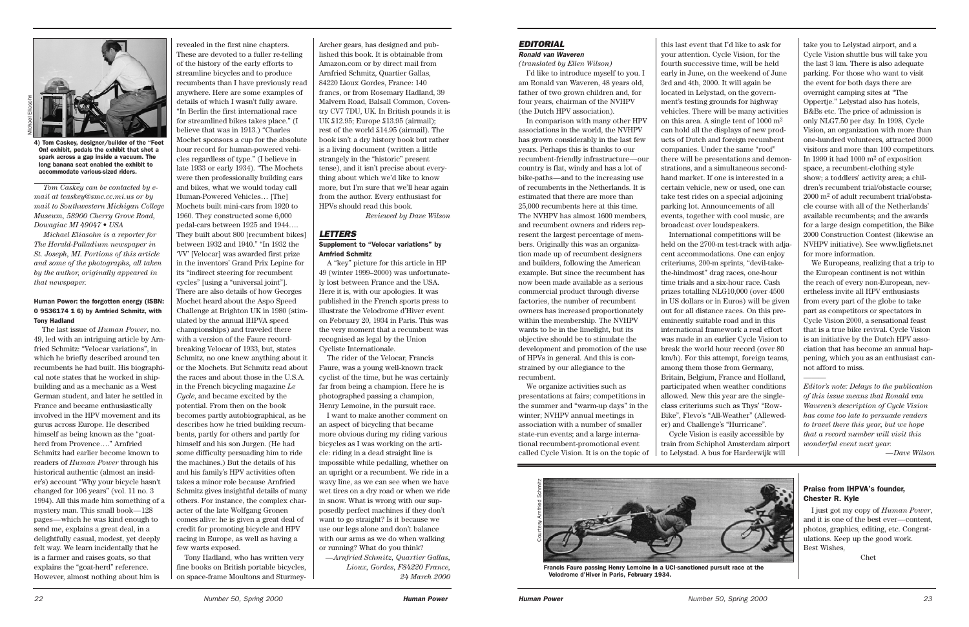

*Tom Caskey can be contacted by email at tcaskey@smc.cc.mi.us or by mail to Southwestern Michigan College Museum, 58900 Cherry Grove Road, Dowagiac MI 49047 • USA*

*Michael Eliasohn is a reporter for The Herald-Palladium newspaper in St. Joseph, MI. Portions of this article and some of the photographs, all taken by the author, originally appeared in that newspaper.* 

### Human Power: the forgotten energy (ISBN: 0 9536174 1 6) by Arnfried Schmitz, with Tony Hadland

The last issue of *Human Power*, no. 49, led with an intriguing article by Arnfried Schmitz: "Velocar variations", in which he briefly described around ten recumbents he had built. His biographical note states that he worked in shipbuilding and as a mechanic as a West German student, and later he settled in France and became enthusiastically involved in the HPV movement and its gurus across Europe. He described himself as being known as the "goatherd from Provence…." Arnfried Schmitz had earlier become known to readers of *Human Power* through his historical authentic (almost an insider's) account "Why your bicycle hasn't changed for 106 years" (vol. 11 no. 3 1994). All this made him something of a mystery man. This small book—128 pages—which he was kind enough to send me, explains a great deal, in a delightfully casual, modest, yet deeply felt way. We learn incidentally that he is a farmer and raises goats, so that explains the "goat-herd" reference. However, almost nothing about him is

revealed in the first nine chapters. These are devoted to a fuller re-telling of the history of the early efforts to streamline bicycles and to produce recumbents than I have previously read anywhere. Here are some examples of details of which I wasn't fully aware. "In Berlin the first international race for streamlined bikes takes place." (I believe that was in 1913.) "Charles Mochet sponsors a cup for the absolute hour record for human-powered vehicles regardless of type." (I believe in late 1933 or early 1934). "The Mochets were then professionally building cars and bikes, what we would today call Human-Powered Vehicles… [The] Mochets built mini-cars from 1920 to 1960. They constructed some 6,000 pedal-cars between 1925 and 1944…. They built about 800 [recumbent bikes] between 1932 and 1940." "In 1932 the 'VV' [Velocar] was awarded first prize in the inventors' Grand Prix Lepine for its "indirect steering for recumbent cycles" [using a "universal joint"]. There are also details of how Georges Mochet heard about the Aspo Speed Challenge at Brighton UK in 1980 (stim-

ulated by the annual IHPVA speed championships) and traveled there with a version of the Faure recordbreaking Velocar of 1933, but, states Schmitz, no one knew anything about it or the Mochets. But Schmitz read about the races and about those in the U.S.A. in the French bicycling magazine *Le Cycle*, and became excited by the potential. From then on the book becomes partly autobiographical, as he describes how he tried building recumbents, partly for others and partly for himself and his son Jurgen. (He had some difficulty persuading him to ride the machines.) But the details of his and his family's HPV activities often takes a minor role because Arnfried Schmitz gives insightful details of many others. For instance, the complex character of the late Wolfgang Gronen comes alive: he is given a great deal of credit for promoting bicycle and HPV racing in Europe, as well as having a few warts exposed.

Tony Hadland, who has written very fine books on British portable bicycles, on space-frame Moultons and Sturmey-

Archer gears, has designed and published this book. It is obtainable from Amazon.com or by direct mail from Arnfried Schmitz, Quartier Gallas, 84220 Lioux Gordes, France: 140 francs, or from Rosemary Hadland, 39 Malvern Road, Balsall Common, Coventry CV7 7DU, UK. In British pounds it is UK £12.95; Europe £13.95 (airmail); rest of the world £14.95 (airmail). The book isn't a dry history book but rather is a living document (written a little strangely in the "historic" present tense), and it isn't precise about everything about which we'd like to know more, but I'm sure that we'll hear again from the author. Every enthusiast for HPVs should read this book.

*Reviewed by Dave Wilson*

### *LETTERS*

### Supplement to "Velocar variations" by Arnfried Schmitz

A "key" picture for this article in HP 49 (winter 1999–2000) was unfortunately lost between France and the USA. Here it is, with our apologies. It was published in the French sports press to illustrate the Velodrome d'Hiver event on February 20, 1934 in Paris. This was the very moment that a recumbent was recognised as legal by the Union Cycliste Internationale.

The rider of the Velocar, Francis Faure, was a young well-known track cyclist of the time, but he was certainly far from being a champion. Here he is photographed passing a champion, Henry Lemoine, in the pursuit race.

I want to make another comment on an aspect of bicycling that became more obvious during my riding various bicycles as I was working on the article: riding in a dead straight line is impossible while pedalling, whether on an upright or a recumbent. We ride in a wavy line, as we can see when we have wet tires on a dry road or when we ride in snow. What is wrong with our supposedly perfect machines if they don't want to go straight? Is it because we use our legs alone and don't balance with our arms as we do when walking or running? What do you think?

*—Arnfried Schmitz, Quartier Gallas, Lioux, Gordes, F84220 France, 24 March 2000*

4) Tom Caskey, designer/builder of the "Feet On! exhibit, pedals the exhibit that shot a spark across a gap inside a vacuum. The long banana seat enabled the exhibit to accommodate various-sized riders.

### *EDITORIAL Ronald van Waveren*

### *(translated by Ellen Wilson)*

I'd like to introduce myself to you. I am Ronald van Waveren, 48 years old, father of two grown children and, for four years, chairman of the NVHPV (the Dutch HPV association).

In comparison with many other HPV associations in the world, the NVHPV has grown considerably in the last few years. Perhaps this is thanks to our recumbent-friendly infrastructure—our country is flat, windy and has a lot of bike-paths—and to the increasing use of recumbents in the Netherlands. It is estimated that there are more than 25,000 recumbents here at this time. The NVHPV has almost 1600 members, and recumbent owners and riders represent the largest percentage of members. Originally this was an organization made up of recumbent designers and builders, following the American example. But since the recumbent has now been made available as a serious commercial product through diverse factories, the number of recumbent owners has increased proportionately within the membership. The NVHPV wants to be in the limelight, but its objective should be to stimulate the development and promotion of the use of HPVs in general. And this is constrained by our allegiance to the recumbent.

We organize activities such as presentations at fairs; competitions in the summer and "warm-up days" in the winter; NVHPV annual meetings in association with a number of smaller state-run events; and a large international recumbent-promotional event called Cycle Vision. It is on the topic of

this last event that I'd like to ask for your attention. Cycle Vision, for the fourth successive time, will be held early in June, on the weekend of June 3rd and 4th, 2000. It will again be located in Lelystad, on the government's testing grounds for highway vehicles. There will be many activities on this area. A single tent of 1000 m2 can hold all the displays of new products of Dutch and foreign recumbent companies. Under the same "roof" there will be presentations and demonstrations, and a simultaneous secondhand market. If one is interested in a certain vehicle, new or used, one can take test rides on a special adjoining parking lot. Announcements of all events, together with cool music, are broadcast over loudspeakers.



Francis Faure passing Henry Lemoine in a UCI-sanctioned pursuit race at the Velodrome d'Hiver in Paris, February 1934.

International competitions will be held on the 2700-m test-track with adjacent accommodations. One can enjoy criteriums, 200-m sprints, "devil-takethe-hindmost" drag races, one-hour time trials and a six-hour race. Cash prizes totalling NLG10,000 (over 4500 in US dollars or in Euros) will be given out for all distance races. On this preeminently suitable road and in this international framework a real effort was made in an earlier Cycle Vision to break the world hour record (over 80 km/h). For this attempt, foreign teams, among them those from Germany,

Britain, Belgium, France and Holland, participated when weather conditions allowed. New this year are the singleclass criteriums such as Thys' "Row-Bike", Flevo's "All-Weather" (Alleweder) and Challenge's "Hurricane".

Cycle Vision is easily accessible by train from Schiphol Amsterdam airport to Lelystad. A bus for Harderwijk will



We Europeans, realizing that a trip to the European continent is not within the reach of every non-European, nevertheless invite all HPV enthusiasts from every part of the globe to take part as competitors or spectators in Cycle Vision 2000, a sensational feast that is a true bike revival. Cycle Vision is an initiative by the Dutch HPV association that has become an annual happening, which you as an enthusiast cannot afford to miss.

———

*Editor's note: Delays to the publication of this issue means that Ronald van Waveren's description of Cycle Vision has come too late to persuade readers to travel there this year, but we hope that a record number will visit this wonderful event next year.* 

*—Dave Wilson*

### Praise from IHPVA's founder, Chester R. Kyle

I just got my copy of *Human Power*, and it is one of the best ever—content, photos, graphics, editing, etc. Congratulations. Keep up the good work. Best Wishes,

Chet